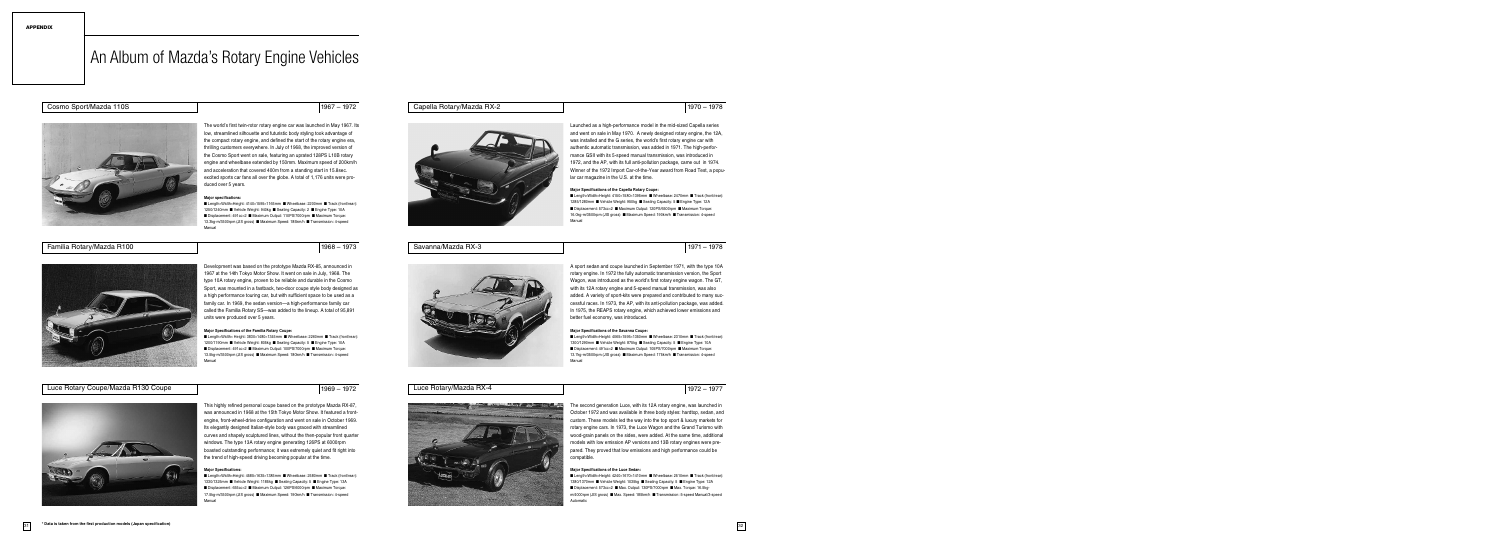The second generation Luce, with its 12A rotary engine, was launched in October 1972 and was available in three body styles: hardtop, sedan, and custom. These models led the way into the top sport & luxury markets for rotary engine cars. In 1973, the Luce Wagon and the Grand Turismo with wood-grain panels on the sides, were added. At the same time, additional models with low emission AP versions and 13B rotary engines were prepared. They proved that low emissions and high performance could be compatible.

#### **Major Specifications of the Luce Sedan:**

**■** Length×Width×Height: 4240×1670×1410mm **■** Wheelbase: 2510mm **■** Track (front/rear): 1380/1370mm **■** Vehicle Weight: 1035kg **■** Seating Capacity: 5 **■** Engine Type: 12A **■** Displacement: 573cc×2 **■** Max. Output: 130PS/7000rpm **■** Max. Torque: 16.5kgm/4000rpm (JIS gross) **■** Max. Speed: 185km/h **■** Transmission: 5-speed Manual/3-speed Automatic

### Savanna/Mazda RX-3 1971 – 1978



#### Luce Rotary/Mazda RX-4 1977 – 1977



A sport sedan and coupe launched in September 1971, with the type 10A rotary engine. In 1972 the fully automatic transmission version, the Sport Wagon, was introduced as the world's first rotary engine wagon. The GT, with its 12A rotary engine and 5-speed manual transmission, was also added. A variety of sport-kits were prepared and contributed to many successful races. In 1973, the AP, with its anti-pollution package, was added. In 1975, the REAPS rotary engine, which achieved lower emissions and better fuel economy, was introduced.

#### **Major Specifications of the Savanna Coupe:**

**■** Length×Width×Height: 4065×1595×1350mm **■** Wheelbase: 2310mm **■** Track (front/rear): 1300/1290mm **■** Vehicle Weight: 875kg **■** Seating Capacity: 5 **■** Engine Type: 10A **■** Displacement: 491cc×2 **■** Maximum Output: 105PS/7000rpm **■** Maximum Torque: 13.7kg-m/3500rpm (JIS gross) **■** Maximum Speed: 175km/h **■** Transmission: 4-speed Manual

Launched as a high-performance model in the mid-sized Capella series and went on sale in May 1970. A newly designed rotary engine, the 12A, was installed and the G series, the world's first rotary engine car with authentic automatic transmission, was added in 1971. The high-performance GSII with its 5-speed manual transmission, was introduced in 1972, and the AP, with its full anti-pollution package, came out in 1974. Winner of the 1972 Import Car-of-the-Year award from Road Test, a popular car magazine in the U.S. at the time.

#### **Major Specifications of the Capella Rotary Coupe:**

**■** Length×Width×Height: 4150×1580×1395mm **■** Wheelbase: 2470mm **■** Track (front/rear): 1285/1280mm **■** Vehicle Weight: 950kg **■** Seating Capacity: 5 **■** Engine Type: 12A **■** Displacement: 573cc×2 **■** Maximum Output: 120PS/6500rpm **■** Maximum Torque: 16.0kg-m/3500rpm (JIS gross) **■** Maximum Speed: 190km/h **■** Transmission: 4-speed Manual

This highly refined personal coupe based on the prototype Mazda RX-87, was announced in 1968 at the 15th Tokyo Motor Show. It featured a frontengine, front-wheel-drive configuration and went on sale in October 1969. Its elegantly designed Italian-style body was graced with streamlined curves and shapely sculptured lines, without the then-popular front quarter windows. The type 13A rotary engine generating 126PS at 6000rpm boasted outstanding performance; it was extremely quiet and fit right into the trend of high-speed driving becoming popular at the time.

#### **Major Specifications:**

**■** Length×Width×Height: 4585×1635×1385mm **■** Wheelbase: 2580mm **■** Track (front/rear): 1330/1325mm **■** Vehicle Weight: 1185kg **■** Seating Capacity: 5 **■** Engine Type: 13A **■** Displacement: 655cc×2 **■** Maximum Output: 126PS/6000rpm **■** Maximum Torque: 17.5kg-m/3500rpm (JIS gross) **■** Maximum Speed: 190km/h **■** Transmission: 4-speed Manual

### Capella Rotary/Mazda RX-2 1970 – 1978



Familia Rotary/Mazda R100 1968 – 1973



Development was based on the prototype Mazda RX-85, announced in 1967 at the 14th Tokyo Motor Show. It went on sale in July, 1968. The type 10A rotary engine, proven to be reliable and durable in the Cosmo Sport, was mounted in a fastback, two-door coupe style body designed as a high performance touring car, but with sufficient space to be used as a family car. In 1969, the sedan version—a high-performance family car called the Familia Rotary SS—was added to the lineup. A total of 95,891 units were produced over 5 years.

#### **Major Specifications of the Familia Rotary Coupe:**

**■** Length×Width× Height: 3830×1480×1345mm **■** Wheelbase: 2260mm **■** Track (front/rear): 1200/1190mm **■** Vehicle Weight: 805kg **■** Seating Capacity: 5 **■** Engine Type: 10A **■** Displacement: 491cc×2 **■** Maximum Output: 100PS/7000rpm **■** Maximum Torque: 13.5kg-m/3500rpm (JIS gross) **■** Maximum Speed: 180km/h **■** Transmission: 4-speed Manual

#### Luce Rotary Coupe/Mazda R130 Coupe 1972





The world's first twin-rotor rotary engine car was launched in May 1967. Its low, streamlined silhouette and futuristic body styling took advantage of the compact rotary engine, and defined the start of the rotary engine era, thrilling customers everywhere. In July of 1968, the improved version of the Cosmo Sport went on sale, featuring an uprated 128PS L10B rotary engine and wheelbase extended by 150mm. Maximum speed of 200km/h and acceleration that covered 400m from a standing start in 15.8sec. excited sports car fans all over the globe. A total of 1,176 units were produced over 5 years.

#### **Major specifications:**

**■** Length×Width×Height: 4140×1595×1165mm **■** Wheelbase: 2200mm **■** Track (front/rear): 1250/1240mm **■** Vehicle Weight: 940kg **■** Seating Capacity: 2 **■** Engine Type: 10A **■** Displacement: 491cc×2 **■** Maximum Output: 110PS/7000rpm **■** Maximum Torque: 13.3kg-m/3500rpm (JIS gross) **■** Maximum Speed: 185km/h **■** Transmission: 4-speed Manual

# An Album of Mazda's Rotary Engine Vehicles

### Cosmo Sport/Mazda 110S 1967 – 1972

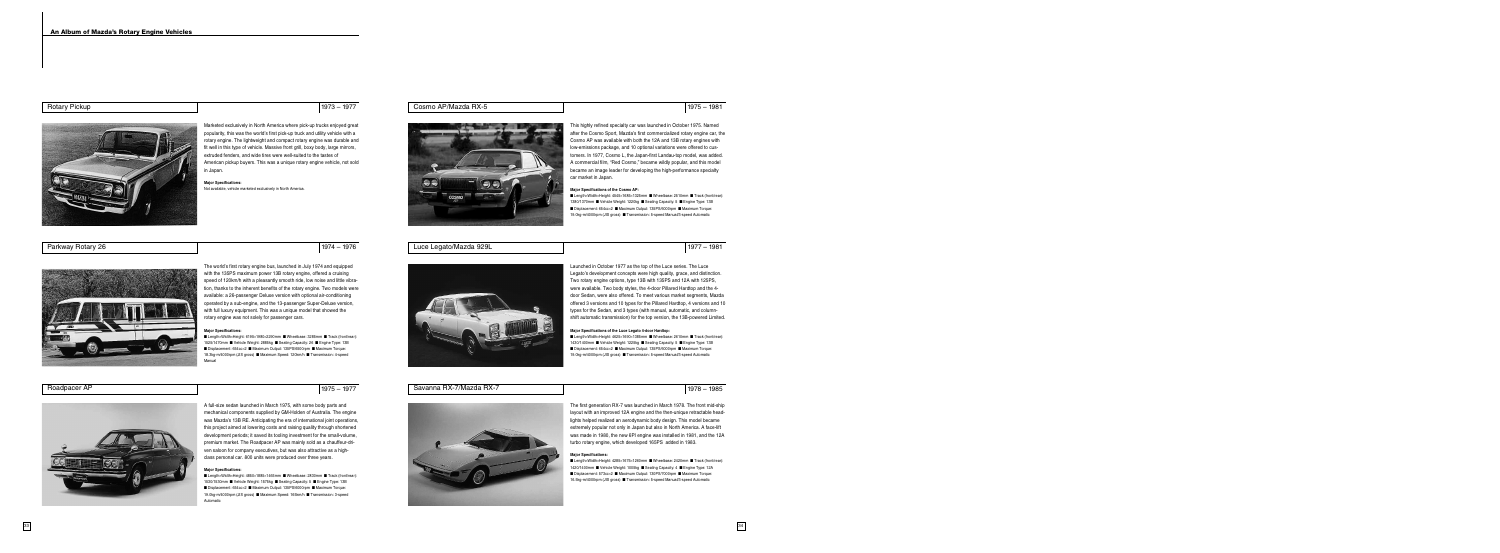The first generation RX-7 was launched in March 1978. The front mid-ship layout with an improved 12A engine and the then-unique retractable headlights helped realized an aerodynamic body design. This model became extremely popular not only in Japan but also in North America. A face-lift was made in 1980, the new 6PI engine was installed in 1981, and the 12A turbo rotary engine, which developed 165PS added in 1983.

#### **Major Specifications:**

**■** Length×Width×Height: 4285×1675×1260mm **■** Wheelbase: 2420mm **■** Track (front/rear): 1420/1400mm **■** Vehicle Weight: 1005kg **■** Seating Capacity: 4 **■** Engine Type: 12A **■** Displacement: 573cc×2 **■** Maximum Output: 130PS/7000rpm **■** Maximum Torque: 16.5kg-m/4000rpm (JIS gross) **■** Transmission: 5-speed Manual/3-speed Automatic

Luce Legato/Mazda 929L 1977 – 1981



### Savanna RX-7/Mazda RX-7 1985



Launched in October 1977 as the top of the Luce series. The Luce Legato's development concepts were high quality, grace, and distinction. Two rotary engine options, type 13B with 135PS and 12A with 125PS, were available. Two body styles, the 4-door Pillared Hardtop and the 4 door Sedan, were also offered. To meet various market segments, Mazda offered 3 versions and 10 types for the Pillared Hardtop, 4 versions and 10 types for the Sedan, and 3 types (with manual, automatic, and columnshift automatic transmission) for the top version, the 13B-powered Limited.

#### **Major Specifications of the Luce Legato 4-door Hardtop:**

**■** Length×Width×Height: 4625×1690×1385mm **■** Wheelbase: 2610mm **■** Track (front/rear): 1430/1400mm **■** Vehicle Weight: 1225kg **■** Seating Capacity: 5 **■** Engine Type: 13B **■** Displacement: 654cc×2 **■** Maximum Output: 135PS/6000rpm **■** Maximum Torque: 19.0kg-m/4000rpm (JIS gross) **■** Transmission: 5-speed Manual/3-speed Automatic

This highly refined specialty car was launched in October 1975. Named after the Cosmo Sport, Mazda's first commercialized rotary engine car, the Cosmo AP was available with both the 12A and 13B rotary engines with low-emissions package, and 10 optional variations were offered to customers. In 1977, Cosmo L, the Japan-first Landau-top model, was added. A commercial film, "Red Cosmo," became wildly popular, and this model became an image leader for developing the high-performance specialty car market in Japan.

#### **Major Specifications of the Cosmo AP:**

**■** Length×Width×Height: 4545×1685×1325mm **■** Wheelbase: 2510mm **■** Track (front/rear): 1380/1370mm **■** Vehicle Weight: 1220kg **■** Seating Capacity: 5 **■** Engine Type: 13B **■** Displacement: 654cc×2 **■** Maximum Output: 135PS/6000rpm **■** Maximum Torque: 19.0kg-m/4000rpm (JIS gross) **■** Transmission: 5-speed Manual/3-speed Automatic

A full-size sedan launched in March 1975, with some body parts and mechanical components supplied by GM-Holden of Australia. The engine was Mazda's 13B RE. Anticipating the era of international joint operations, this project aimed at lowering costs and raising quality through shortened development periods; it saved its tooling investment for the small-volume, premium market. The Roadpacer AP was mainly sold as a chauffeur-driven saloon for company executives, but was also attractive as a highclass personal car. 800 units were produced over three years.

#### **Major Specifications:**

**■** Length×Width×Height: 4850×1885×1465mm **■** Wheelbase: 2830mm **■** Track (front/rear): 1530/1530mm **■** Vehicle Weight: 1575kg **■** Seating Capacity: 5 **■** Engine Type: 13B **■** Displacement: 654cc×2 **■** Maximum Output: 135PS/6000rpm **■** Maximum Torque: 19.0kg-m/4000rpm (JIS gross) **■** Maximum Speed: 165km/h **■** Transmission: 3-speed Automatic





The world's first rotary engine bus, launched in July 1974 and equipped with the 135PS maximum power 13B rotary engine, offered a cruising speed of 120km/h with a pleasantly smooth ride, low noise and little vibration, thanks to the inherent benefits of the rotary engine. Two models were available: a 26-passenger Deluxe version with optional air-conditioning operated by a sub-engine, and the 13-passenger Super-Deluxe version, with full luxury equipment. This was a unique model that showed the rotary engine was not solely for passenger cars.

#### **Major Specifications:**

**■** Length×Width×Height: 6195×1980×2290mm **■** Wheelbase: 3285mm **■** Track (front/rear): 1525/1470mm **■** Vehicle Weight: 2885kg **■** Seating Capacity: 26 **■** Engine Type: 13B **■** Displacement: 654cc×2 **■** Maximum Output: 135PS/6500rpm **■** Maximum Torque: 18.3kg-m/4000rpm (JIS gross) **■** Maximum Speed: 120km/h **■** Transmission: 4-speed Manual

### Roadpacer AP 1975 – 1977



| <b>Rotary Pickup</b><br>$1973 - 1977$ |
|---------------------------------------|
|---------------------------------------|



Marketed exclusively in North America where pick-up trucks enjoyed great popularity, this was the world's first pick-up truck and utility vehicle with a rotary engine. The lightweight and compact rotary engine was durable and fit well in this type of vehicle. Massive front grill, boxy body, large mirrors, extruded fenders, and wide tires were well-suited to the tastes of American pickup buyers. This was a unique rotary engine vehicle, not sold in Japan.

**Major Specifications:** Not available, vehicle marketed exclusively in North America.

### Cosmo AP/Mazda RX-5 1981

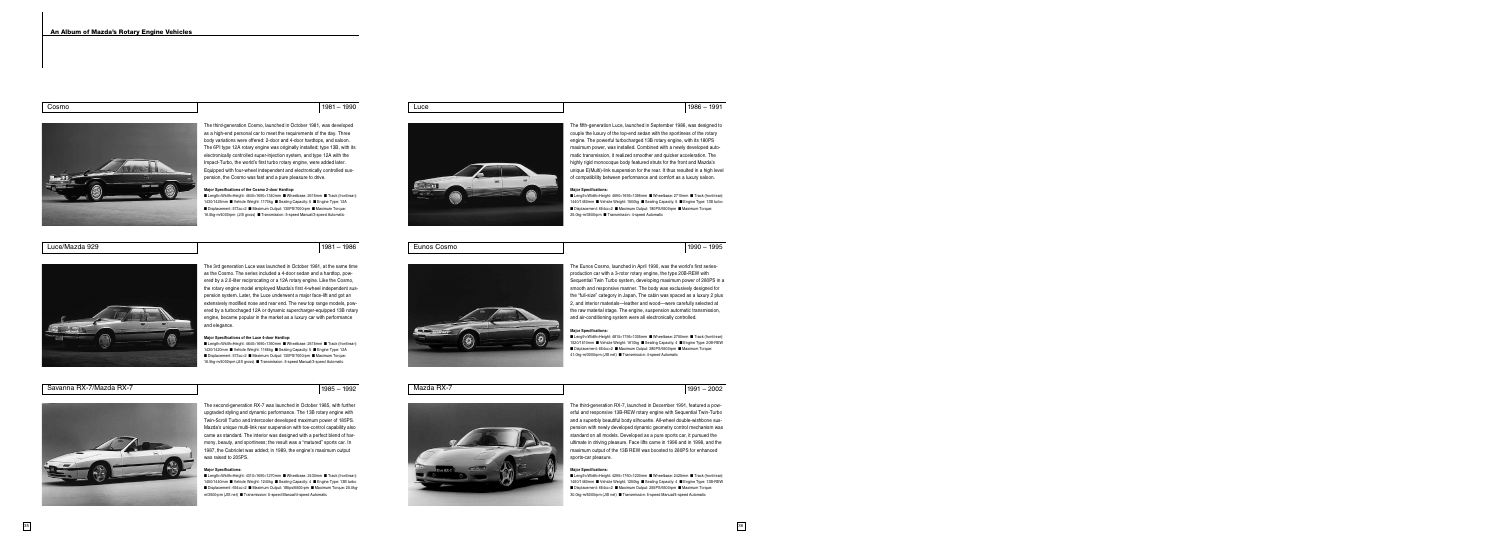Mazda RX-7 1991 – 2002

The third-generation RX-7, launched in December 1991, featured a powerful and responsive 13B-REW rotary engine with Sequential Twin-Turbo and a superbly beautiful body silhouette. All-wheel double-wishbone suspension with newly developed dynamic geometry control mechanism was standard on all models. Developed as a pure sports car, it pursued the ultimate in driving pleasure. Face lifts came in 1996 and in 1998, and the maximum output of the 13B REW was boosted to 280PS for enhanced sports-car pleasure.

#### **Major Specifications:**

**■** Length×Width×Height: 4295×1760×1230mm **■** Wheelbase: 2425mm **■** Track (front/rear): 1460/1460mm **■** Vehicle Weight: 1250kg **■** Seating Capacity: 4 **■** Engine Type: 13B-REW **■** Displacement: 654cc×2 **■** Maximum Output: 255PS/6500rpm **■** Maximum Torque: 30.0kg-m/5000rpm (JIS net) **■** Transmission: 5-speed Manual/4-speed Automatic

Eunos Cosmo 1990 – 1995

The Eunos Cosmo, launched in April 1990, was the world's first seriesproduction car with a 3-rotor rotary engine, the type 20B-REW with Sequential Twin Turbo system, developing maximum power of 280PS in a smooth and responsive manner. The body was exclusively designed for the "full-size" category in Japan, The cabin was spaced as a luxury 2 plus 2, and interior materials—leather and wood—were carefully selected at the raw material stage. The engine, suspension automatic transmission, and air-conditioning system were all electronically controlled.

#### **Major Specifications:**

**■** Length×Width×Height: 4815×1795×1305mm **■** Wheelbase: 2750mm **■** Track (front/rear): 1520/1510mm **■** Vehicle Weight: 1610kg **■** Seating Capacity: 4 **■** Engine Type: 20B-REW **■** Displacement: 654cc×2 **■** Maximum Output: 280PS/6500rpm **■** Maximum Torque: 41.0kg-m/3000rpm (JIS net) **■** Transmission: 4-speed Automatic

The fifth-generation Luce, launched in September 1986, was designed to couple the luxury of the top-end sedan with the sportiness of the rotary engine. The powerful turbocharged 13B rotary engine, with its 180PS maximum power, was installed. Combined with a newly developed automatic transmission, it realized smoother and quicker acceleration. The highly rigid monocoque body featured struts for the front and Mazda's unique E(Multi)-link suspension for the rear. It thus resulted in a high level of compatibility between performance and comfort as a luxury saloon.

#### **Major Specifications:**

**■** Length×Width×Height: 4690×1695×1395mm **■** Wheelbase: 2710mm **■** Track (front/rear): 1440/1450mm **■** Vehicle Weight: 1500kg **■** Seating Capacity: 5 **■** Engine Type: 13B turbo **■** Displacement: 654cc×2 **■** Maximum Output: 180PS/6500rpm **■** Maximum Torque: 25.0kg-m/3500rpm **■** Transmission: 4-speed Automatic

The second-generation RX-7 was launched in October 1985, with further upgraded styling and dynamic performance. The 13B rotary engine with Twin-Scroll Turbo and intercooler developed maximum power of 185PS. Mazda's unique multi-link rear suspension with toe-control capability also came as standard. The interior was designed with a perfect blend of harmony, beauty, and sportiness; the result was a "matured" sports car. In 1987, the Cabriolet was added; in 1989, the engine's maximum output was raised to 205PS.

#### **Major Specifications:**

Savanna RX-7/Mazda RX-7 1992

**■** Length×Width×Height: 4310×1690×1270mm **■** Wheelbase: 2430mm **■** Track (front/rear): 1450/1440mm **■** Vehicle Weight: 1240kg **■** Seating Capacity: 4 **■** Engine Type: 13B turbo **■** Displacement: 654cc×2 **■** Maximum Output: 185ps/6500rpm **■** Maximum Torque: 25.0kgm/3500rpm (JIS net) **■** Transmission: 5-speed Manual/4-speed Automatic







Luce/Mazda 929 1981 – 1986



The 3rd generation Luce was launched in October 1981, at the same time as the Cosmo. The series included a 4-door sedan and a hardtop, powered by a 2.0-liter reciprocating or a 12A rotary engine. Like the Cosmo, the rotary engine model employed Mazda's first 4-wheel independent suspension system. Later, the Luce underwent a major face-lift and got an extensively modified nose and rear end. The new top range models, powered by a turbochaged 12A or dynamic supercharger-equipped 13B rotary engine, became popular in the market as a luxury car with performance and elegance.

#### **Major Specifications of the Luce 4-door Hardtop:**

**■** Length×Width×Height: 4640×1690×1360mm **■** Wheelbase: 2615mm **■** Track (front/rear): 1430/1420mm **■** Vehicle Weight: 1165kg **■** Seating Capacity: 5 **■** Engine Type: 12A **■** Displacement: 573cc×2 **■** Maximum Output: 130PS/7000rpm **■** Maximum Torque: 16.5kg-m/4000rpm (JIS gross) **■** Transmission: 5-speed Manual/3-speed Automatic



| 1990<br>1981 |
|--------------|
|              |



The third-generation Cosmo, launched in October 1981, was developed as a high-end personal car to meet the requirements of the day. Three body variations were offered: 2-door and 4-door hardtops, and saloon. The 6PI type 12A rotary engine was originally installed; type 13B, with its

electronically controlled super-injection system, and type 12A with the Impact-Turbo, the world's first turbo rotary engine, were added later. Equipped with four-wheel independent and electronically controlled suspension, the Cosmo was fast and a pure pleasure to drive.

#### **Major Specifications of the Cosmo 2-door Hardtop:**

**■** Length×Width×Height: 4640×1690×1340mm **■** Wheelbase: 2615mm **■** Track (front/rear): 1430/1425mm **■** Vehicle Weight: 1170kg **■** Seating Capacity: 5 **■** Engine Type: 12A **■** Displacement: 573cc×2 **■** Maximum Output: 130PS/7000rpm **■** Maximum Torque: 16.5kg-m/4000rpm (JIS gross) **■** Transmission: 5-speed Manual/3-speed Automatic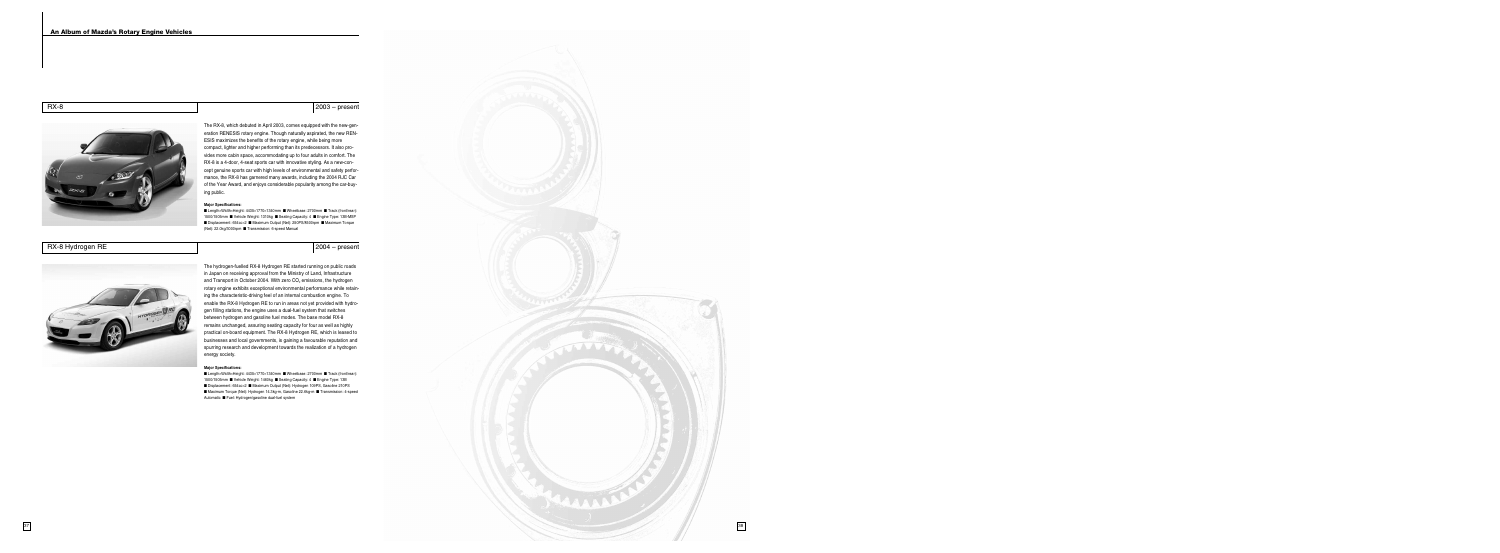

The hydrogen-fuelled RX-8 Hydrogen RE started running on public roads in Japan on receiving approval from the Ministry of Land, Infrastructure and Transport in October 2004. With zero  $CO<sub>2</sub>$  emissions, the hydrogen rotary engine exhibits exceptional environmental performance while retaining the characteristic-driving feel of an internal combustion engine. To enable the RX-8 Hydrogen RE to run in areas not yet provided with hydrogen filling stations, the engine uses a dual-fuel system that switches between hydrogen and gasoline fuel modes. The base model RX-8 remains unchanged, assuring seating capacity for four as well as highly practical on-board equipment. The RX-8 Hydrogen RE, which is leased to businesses and local governments, is gaining a favourable reputation and spurring research and development towards the realization of a hydrogen energy society.

#### **Major Specifications:**

**■** Length×Width×Height: 4435×1770×1340mm **■** Wheelbase: 2700mm **■** Track (front/rear): 1500/1505mm **■** Vehicle Weight: 1460kg **■** Seating Capacity: 4 **■** Engine Type: 13B **■** Displacement: 654cc×2 **■** Maximum Output (Net): Hydrogen 109PS, Gasoline 210PS **■** Maximum Torque (Net): Hydrogen 14.3kg-m, Gasoline 22.6kg-m **■** Transmission: 4-speed Automatic **■** Fuel: Hydrogen/gasoline dual-fuel system

The RX-8, which debuted in April 2003, comes equipped with the new-generation RENESIS rotary engine. Though naturally aspirated, the new REN-ESIS maximizes the benefits of the rotary engine, while being more compact, lighter and higher performing than its predecessors. It also provides more cabin space, accommodating up to four adults in comfort. The RX-8 is a 4-door, 4-seat sports car with innovative styling. As a new-concept genuine sports car with high levels of environmental and safety performance, the RX-8 has garnered many awards, including the 2004 RJC Car of the Year Award, and enjoys considerable popularity among the car-buying public.

#### **Major Specifications:**

**■** Length×Width×Height: 4435×1770×1340mm **■** Wheelbase: 2700mm **■** Track (front/rear): 1500/1505mm **■** Vehicle Weight: 1310kg **■** Seating Capacity: 4 **■** Engine Type: 13B-MSP **■** Displacement: 654cc×2 **■** Maximum Output (Net): 250PS/8500rpm **■** Maximum Torque (Net): 22.0kg/3000rpm **■** Transmission: 6-speed Manual

RX-8 Hydrogen RE 2004 – present



RX-8 2003 – present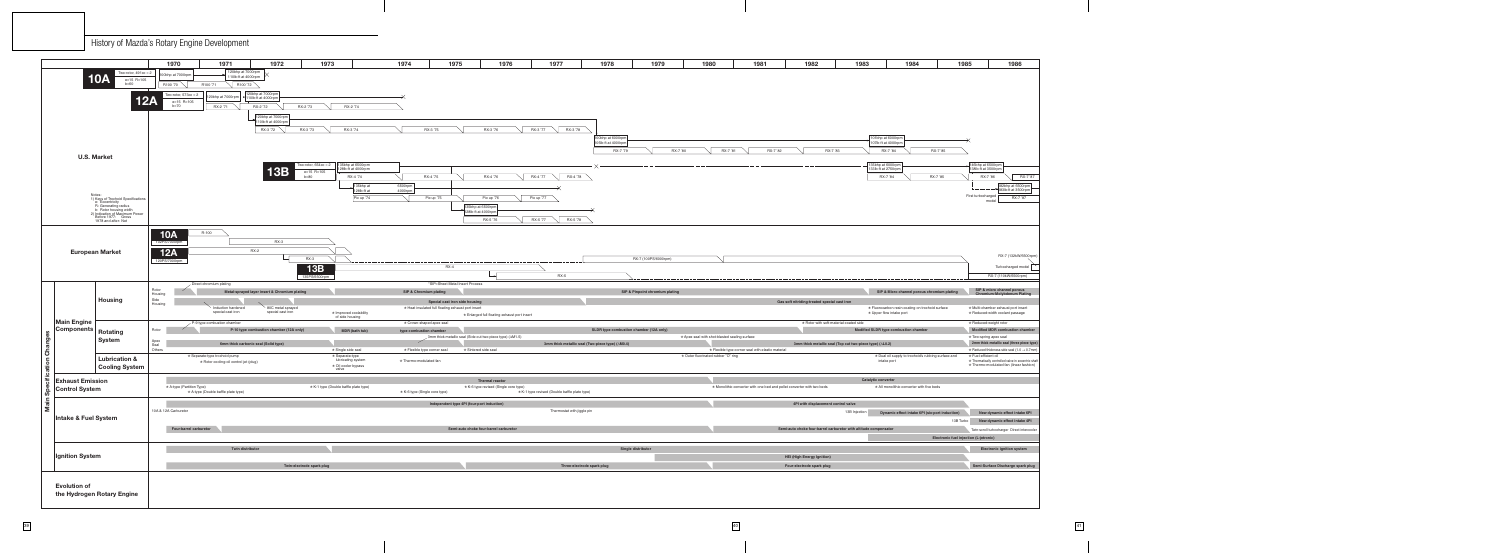

| 1970                                      | 1971                                                                    | 1972                                          | 1973                                  |                                                  | 1974                          | 1975                                               | 1976                                                      | 1977                                          | 1978                                             | 1979                            | 1980                                          | 1981                                                                   | 1982                                         | 1983                                                             | 1984                                                                         |                                                     | 1985                                                                        | 1986                              |
|-------------------------------------------|-------------------------------------------------------------------------|-----------------------------------------------|---------------------------------------|--------------------------------------------------|-------------------------------|----------------------------------------------------|-----------------------------------------------------------|-----------------------------------------------|--------------------------------------------------|---------------------------------|-----------------------------------------------|------------------------------------------------------------------------|----------------------------------------------|------------------------------------------------------------------|------------------------------------------------------------------------------|-----------------------------------------------------|-----------------------------------------------------------------------------|-----------------------------------|
| $\mathsf{p}$ at 7000rpm                   | 120bhp at 7000rpm<br>110lb-ft at 4000rpm                                |                                               |                                       |                                                  |                               |                                                    |                                                           |                                               |                                                  |                                 |                                               |                                                                        |                                              |                                                                  |                                                                              |                                                     |                                                                             |                                   |
| 100 '70                                   | R100 '71<br>R100 '72                                                    |                                               |                                       |                                                  |                               |                                                    |                                                           |                                               |                                                  |                                 |                                               |                                                                        |                                              |                                                                  |                                                                              |                                                     |                                                                             |                                   |
| wo-rotor, $573cc \times 2$                |                                                                         | 120bhp at 7000rpm                             |                                       |                                                  |                               |                                                    |                                                           |                                               |                                                  |                                 |                                               |                                                                        |                                              |                                                                  |                                                                              |                                                     |                                                                             |                                   |
| e=15 R=105                                | $\vert$ 120bhp at 7000rpm $\vert$ $\vert$ 110lb-ft at 4000rpm           |                                               |                                       |                                                  |                               |                                                    |                                                           |                                               |                                                  |                                 |                                               |                                                                        |                                              |                                                                  |                                                                              |                                                     |                                                                             |                                   |
| $b=70$                                    | RX-2 '71                                                                | RX-2 '72                                      | RX-2 '73                              | RX-2 '74                                         |                               |                                                    |                                                           |                                               |                                                  |                                 |                                               |                                                                        |                                              |                                                                  |                                                                              |                                                     |                                                                             |                                   |
|                                           |                                                                         | $\lfloor$ 120bhp at 7000rpm $\lfloor$         |                                       |                                                  |                               |                                                    |                                                           |                                               |                                                  |                                 |                                               |                                                                        |                                              |                                                                  |                                                                              |                                                     |                                                                             |                                   |
|                                           |                                                                         | 110lb-ft at 4000rpm<br>RX-3 '72 $\sim$        | RX-3 '73                              | RX-3 '74                                         | RX-3 '75                      |                                                    | RX-3 '76                                                  | RX-3 '77<br>RX-3 '78                          |                                                  |                                 |                                               |                                                                        |                                              |                                                                  |                                                                              |                                                     |                                                                             |                                   |
|                                           |                                                                         |                                               |                                       |                                                  |                               |                                                    |                                                           |                                               |                                                  |                                 |                                               |                                                                        |                                              |                                                                  |                                                                              |                                                     |                                                                             |                                   |
|                                           |                                                                         |                                               |                                       |                                                  |                               |                                                    |                                                           |                                               | 100bhp at 6000rpm<br>105lb-ft at 4000rpm         |                                 |                                               |                                                                        |                                              |                                                                  | 101bhp at 6000rpm<br>107lb-ft at 4000rpm                                     |                                                     |                                                                             |                                   |
|                                           |                                                                         |                                               |                                       |                                                  |                               |                                                    |                                                           |                                               | RX-7 '79                                         | RX-7 '80                        | RX-7 '81                                      | RX-7 '82                                                               | RX-7 '83                                     |                                                                  | RX-7 '84                                                                     | RX-7 '85                                            |                                                                             |                                   |
|                                           |                                                                         |                                               |                                       |                                                  |                               |                                                    |                                                           |                                               |                                                  |                                 |                                               |                                                                        |                                              |                                                                  |                                                                              |                                                     |                                                                             |                                   |
|                                           |                                                                         |                                               | Two-rotor, $654cc \times 2$           | 135bhp at 6500rpm<br>128lb-ft at 4000rpm         |                               |                                                    |                                                           |                                               |                                                  |                                 |                                               |                                                                        |                                              |                                                                  | 135bhp at 6000rpm<br>133lb-ft at 2750rpm                                     |                                                     | 146bhp at 6500rpm<br>138lb-ft at 3500rpm                                    |                                   |
|                                           |                                                                         | <b>13B</b>                                    | e=15 R=105<br>$b=80$                  | RX-4 '74                                         | RX-4 '75                      |                                                    | RX-4 '76                                                  | RX-4 '77<br>RX-4 '78                          |                                                  |                                 |                                               |                                                                        |                                              |                                                                  | RX-7 '84                                                                     | RX-7 '85                                            | RX-7 '86                                                                    | RX-7 '87                          |
|                                           |                                                                         |                                               |                                       | 135bhp at                                        | 6500rpm                       |                                                    |                                                           |                                               |                                                  |                                 |                                               |                                                                        |                                              |                                                                  |                                                                              |                                                     |                                                                             | 182bhp at 6500rpm                 |
|                                           |                                                                         |                                               |                                       | 128lb-ft at                                      | 4000rpm                       |                                                    |                                                           |                                               |                                                  |                                 |                                               |                                                                        |                                              |                                                                  |                                                                              |                                                     |                                                                             | $\frac{1}{3}$ 183lb-ft at 3500rpm |
|                                           |                                                                         |                                               |                                       | Pic up '74                                       |                               | Pic up '75                                         | Pic up '76                                                | Pic up '77                                    |                                                  |                                 |                                               |                                                                        |                                              |                                                                  |                                                                              |                                                     | First turbocharged<br>model                                                 | RX-7 '87                          |
|                                           |                                                                         |                                               |                                       |                                                  |                               |                                                    | 135bhp at 6500rpm<br>128lb-ft at 4000rpm                  |                                               |                                                  |                                 |                                               |                                                                        |                                              |                                                                  |                                                                              |                                                     |                                                                             |                                   |
|                                           |                                                                         |                                               |                                       |                                                  |                               |                                                    | RX-5 '76                                                  | RX-5 '77<br>RX-5 '78                          |                                                  |                                 |                                               |                                                                        |                                              |                                                                  |                                                                              |                                                     |                                                                             |                                   |
|                                           |                                                                         |                                               |                                       |                                                  |                               |                                                    |                                                           |                                               |                                                  |                                 |                                               |                                                                        |                                              |                                                                  |                                                                              |                                                     |                                                                             |                                   |
| $0A$ <sub>7000rpm</sub>                   | R-100                                                                   |                                               |                                       |                                                  |                               |                                                    |                                                           |                                               |                                                  |                                 |                                               |                                                                        |                                              |                                                                  |                                                                              |                                                     |                                                                             |                                   |
|                                           |                                                                         | $RX-3$                                        |                                       |                                                  |                               |                                                    |                                                           |                                               |                                                  |                                 |                                               |                                                                        |                                              |                                                                  |                                                                              |                                                     |                                                                             |                                   |
|                                           |                                                                         | <b>RX-2</b>                                   |                                       |                                                  |                               |                                                    |                                                           |                                               |                                                  |                                 |                                               |                                                                        |                                              |                                                                  |                                                                              |                                                     |                                                                             |                                   |
| 2A                                        |                                                                         |                                               | <b>RX-3</b>                           |                                                  |                               |                                                    |                                                           |                                               |                                                  | RX-7 (100PS/6000rpm)            |                                               |                                                                        |                                              |                                                                  |                                                                              |                                                     |                                                                             | RX-7 (132kW/6500rpm)              |
|                                           |                                                                         |                                               | 13B                                   |                                                  |                               | $RX-4$                                             |                                                           |                                               |                                                  |                                 |                                               |                                                                        |                                              |                                                                  |                                                                              |                                                     |                                                                             | Turbocharged model                |
|                                           |                                                                         |                                               | 135PS/6500rpm                         |                                                  |                               |                                                    |                                                           | <b>RX-5</b>                                   |                                                  |                                 |                                               |                                                                        |                                              |                                                                  |                                                                              |                                                     | RX-7 (110kW/6500rpm)                                                        |                                   |
|                                           | $\angle$ Direct chromium plating                                        |                                               |                                       |                                                  |                               | *SIP=Sheet Metal Insert Process                    |                                                           |                                               |                                                  |                                 |                                               |                                                                        |                                              |                                                                  |                                                                              |                                                     |                                                                             |                                   |
|                                           |                                                                         |                                               |                                       |                                                  |                               |                                                    |                                                           |                                               |                                                  |                                 |                                               |                                                                        |                                              |                                                                  |                                                                              |                                                     |                                                                             |                                   |
|                                           |                                                                         | Metal-sprayed layer insert & Chromium plating |                                       |                                                  | SIP & Chromium plating        |                                                    |                                                           |                                               |                                                  | SIP & Pinpoint chromium plating |                                               |                                                                        |                                              |                                                                  |                                                                              | SIP & Micro channel porous chromium plating         | SIP & micro channel porous<br>Chromium-Molybdenum Plating                   |                                   |
|                                           |                                                                         |                                               |                                       |                                                  |                               | Special cast iron side housing                     |                                                           |                                               |                                                  |                                 |                                               |                                                                        | Gas soft nitriding-treated special cast iron |                                                                  |                                                                              |                                                     |                                                                             |                                   |
|                                           | Induction hardened<br>special cast iron                                 | 80C metal sprayed<br>special cast iron        |                                       | * Improved coolability                           |                               | * Heat insulated full floating exhaust port insert |                                                           |                                               |                                                  |                                 |                                               |                                                                        |                                              |                                                                  | * Fluorocarbon resin coating on trochoid surface<br>* Upper flow intake port |                                                     | * Multi-chamber exhaust port insert<br>* Reduced-width coolant passage      |                                   |
|                                           |                                                                         |                                               |                                       | of side housing                                  |                               |                                                    | * Enlarged full floating exhaust port insert              |                                               |                                                  |                                 |                                               |                                                                        |                                              |                                                                  |                                                                              |                                                     |                                                                             |                                   |
|                                           | P-9 type combustion chamber                                             |                                               |                                       |                                                  | ★ Crown-shaped apex seal      |                                                    |                                                           |                                               |                                                  |                                 |                                               |                                                                        | * Rotor with soft-material-coated side       |                                                                  |                                                                              |                                                     | * Reduced-weight rotor                                                      |                                   |
|                                           |                                                                         | P-10 type combustion chamber (12A only)       |                                       | <b>MDR</b> (bath tub)                            | type combustion chamber       |                                                    | 3mm thick metallic seal (Side cut two-piece type) (AM1.5) |                                               | SLDR type combustion chamber (12A only)          |                                 | * Apex seal with shot-blasted sealing surface |                                                                        |                                              |                                                                  | Modified SLDR type combustion chamber                                        |                                                     | <b>Modified MDR combustion chamber</b><br>* Two-spring apex seal            |                                   |
|                                           |                                                                         | 6mm thick carbonic seal (Solid type)          |                                       |                                                  |                               |                                                    |                                                           |                                               | 3mm thick metallic seal (Two-piece type) (∆M0.4) |                                 |                                               |                                                                        |                                              | 3mm thick metallic seal (Top cut two-piece type) (AL0.2)         |                                                                              |                                                     | 2mm thick metallic seal (three piece type)                                  |                                   |
|                                           |                                                                         |                                               |                                       | * Single side seal                               | ★ Flexible type corner seal   |                                                    | * Sintered side seal                                      |                                               |                                                  |                                 |                                               | * Flexible type corner seal with elastic material                      |                                              |                                                                  |                                                                              |                                                     | $\star$ Reduced thickness side seal (1.0 $\rightarrow$ 0.7mm)               |                                   |
|                                           | * Separate-type trochoid pump<br>* Rotor cooling-oil control jet (plug) |                                               |                                       | <del>★</del> Separate-type<br>lubricating system | * Thermo-modulated fan        |                                                    |                                                           |                                               |                                                  |                                 | * Outer fluorinated-rubber "O" ring           |                                                                        |                                              |                                                                  | intake port                                                                  | * Dual oil supply to trochoid's rubbing surface and | * Fuel-efficient oil<br>* Thermatically controlled valve in eccentric shaft |                                   |
|                                           |                                                                         |                                               | valve                                 | * Oil cooler bypass                              |                               |                                                    |                                                           |                                               |                                                  |                                 |                                               |                                                                        |                                              |                                                                  |                                                                              |                                                     | * Thermo-modulated fan (linear fashion)                                     |                                   |
|                                           |                                                                         |                                               |                                       |                                                  |                               |                                                    | Thermal reactor                                           |                                               |                                                  |                                 |                                               |                                                                        |                                              | <b>Catalytic converter</b>                                       |                                                                              |                                                     |                                                                             |                                   |
|                                           |                                                                         |                                               | * K-1 type (Double baffle plate type) |                                                  |                               |                                                    | * K-6 type revised (Single core type)                     |                                               |                                                  |                                 |                                               | * Monolithic converter with one bed and pellet converter with two beds |                                              |                                                                  | * All monolithic converter with five beds                                    |                                                     |                                                                             |                                   |
|                                           | * A-type (Double baffle plate type)                                     |                                               |                                       |                                                  | * K-6 type (Single core type) |                                                    |                                                           | * K-1 type revised (Double baffle plate type) |                                                  |                                 |                                               |                                                                        |                                              |                                                                  |                                                                              |                                                     |                                                                             |                                   |
|                                           |                                                                         |                                               |                                       |                                                  |                               | Independent type 4PI (four-port induction)         |                                                           |                                               |                                                  |                                 |                                               |                                                                        | 4PI with displacement control valve          |                                                                  |                                                                              |                                                     |                                                                             |                                   |
|                                           |                                                                         |                                               |                                       |                                                  |                               |                                                    |                                                           | Thermostat with jiggle pin                    |                                                  |                                 |                                               |                                                                        |                                              | 13B Injection                                                    |                                                                              | Dynamic effect intake 6PI (six-port induction)      | New dynamic effect intake 6PI                                               |                                   |
|                                           |                                                                         |                                               |                                       |                                                  |                               |                                                    |                                                           |                                               |                                                  |                                 |                                               |                                                                        |                                              |                                                                  |                                                                              | 13B Turbo                                           | New dynamic effect intake 4PI                                               |                                   |
| Four-barrel carburetor                    |                                                                         |                                               |                                       |                                                  |                               |                                                    | Semi-auto choke four-barrel carburetor                    |                                               |                                                  |                                 |                                               |                                                                        |                                              | Semi-auto choke four-barrel carburetor with altitude compensator |                                                                              |                                                     | Twin-scroll turbocharger Direct intercooler                                 |                                   |
|                                           |                                                                         |                                               |                                       |                                                  |                               |                                                    |                                                           |                                               |                                                  |                                 |                                               |                                                                        |                                              |                                                                  |                                                                              | Electronic fuel injection (L-jetronic)              |                                                                             |                                   |
|                                           |                                                                         |                                               |                                       |                                                  |                               |                                                    |                                                           |                                               |                                                  |                                 |                                               |                                                                        |                                              |                                                                  |                                                                              |                                                     |                                                                             |                                   |
|                                           | Twin distributor                                                        |                                               |                                       |                                                  |                               |                                                    |                                                           |                                               | Single distributor                               |                                 |                                               |                                                                        |                                              |                                                                  |                                                                              |                                                     | <b>Electronic ignition system</b>                                           |                                   |
|                                           |                                                                         |                                               |                                       |                                                  |                               |                                                    |                                                           |                                               |                                                  |                                 |                                               |                                                                        | <b>HEI (High Energy Ignition)</b>            |                                                                  |                                                                              |                                                     |                                                                             |                                   |
| * A-type (Partition Type)<br>A Carburetor |                                                                         |                                               | Twin-electrode spark plug             |                                                  |                               |                                                    |                                                           | Three-electrode spark plug                    |                                                  |                                 |                                               |                                                                        | Four-electrode spark plug                    |                                                                  |                                                                              |                                                     | Semi-Surface Discharge spark plug                                           |                                   |
|                                           |                                                                         |                                               |                                       |                                                  |                               |                                                    |                                                           |                                               |                                                  |                                 |                                               |                                                                        |                                              |                                                                  |                                                                              |                                                     |                                                                             |                                   |
|                                           |                                                                         |                                               |                                       |                                                  |                               |                                                    |                                                           |                                               |                                                  |                                 |                                               |                                                                        |                                              |                                                                  |                                                                              |                                                     |                                                                             |                                   |
|                                           |                                                                         |                                               |                                       |                                                  |                               |                                                    |                                                           |                                               |                                                  |                                 |                                               |                                                                        |                                              |                                                                  |                                                                              |                                                     |                                                                             |                                   |

History of Mazda's Rotary Engine Development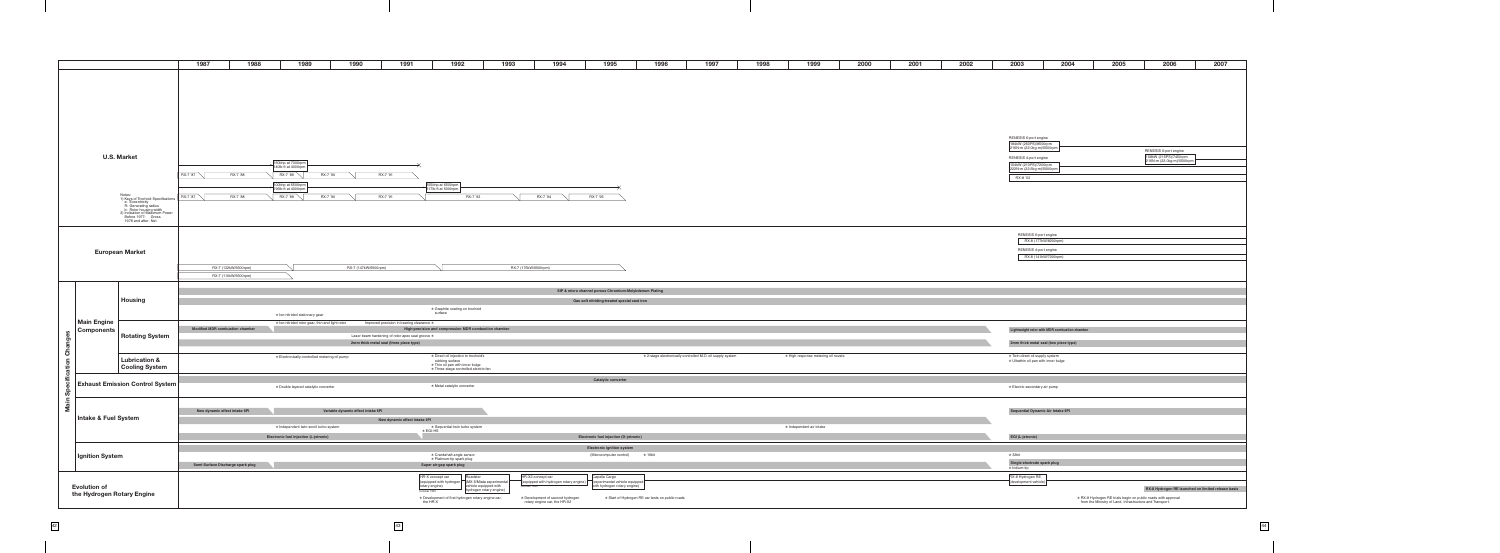|                |                                  |                                                                                                                                                                                                  | 1988<br>1987                      | 1989                                                                                              | 1990<br>1991                                     | 1992                                                                                       | 1993<br>1994                                                     | 1995                                                          | 1996<br>1997                                               | 1998 | 1999                                | 2000 | 2001 | 2002 |
|----------------|----------------------------------|--------------------------------------------------------------------------------------------------------------------------------------------------------------------------------------------------|-----------------------------------|---------------------------------------------------------------------------------------------------|--------------------------------------------------|--------------------------------------------------------------------------------------------|------------------------------------------------------------------|---------------------------------------------------------------|------------------------------------------------------------|------|-------------------------------------|------|------|------|
|                |                                  |                                                                                                                                                                                                  |                                   |                                                                                                   |                                                  |                                                                                            |                                                                  |                                                               |                                                            |      |                                     |      |      |      |
|                |                                  |                                                                                                                                                                                                  |                                   |                                                                                                   |                                                  |                                                                                            |                                                                  |                                                               |                                                            |      |                                     |      |      |      |
|                |                                  |                                                                                                                                                                                                  |                                   |                                                                                                   |                                                  |                                                                                            |                                                                  |                                                               |                                                            |      |                                     |      |      |      |
|                |                                  |                                                                                                                                                                                                  |                                   |                                                                                                   |                                                  |                                                                                            |                                                                  |                                                               |                                                            |      |                                     |      |      |      |
|                |                                  |                                                                                                                                                                                                  |                                   |                                                                                                   |                                                  |                                                                                            |                                                                  |                                                               |                                                            |      |                                     |      |      |      |
|                |                                  |                                                                                                                                                                                                  |                                   |                                                                                                   |                                                  |                                                                                            |                                                                  |                                                               |                                                            |      |                                     |      |      |      |
|                |                                  |                                                                                                                                                                                                  |                                   |                                                                                                   |                                                  |                                                                                            |                                                                  |                                                               |                                                            |      |                                     |      |      |      |
|                |                                  |                                                                                                                                                                                                  |                                   |                                                                                                   |                                                  |                                                                                            |                                                                  |                                                               |                                                            |      |                                     |      |      |      |
|                |                                  |                                                                                                                                                                                                  |                                   |                                                                                                   |                                                  |                                                                                            |                                                                  |                                                               |                                                            |      |                                     |      |      |      |
|                |                                  |                                                                                                                                                                                                  |                                   |                                                                                                   |                                                  |                                                                                            |                                                                  |                                                               |                                                            |      |                                     |      |      |      |
|                |                                  |                                                                                                                                                                                                  |                                   |                                                                                                   |                                                  |                                                                                            |                                                                  |                                                               |                                                            |      |                                     |      |      |      |
|                |                                  |                                                                                                                                                                                                  |                                   |                                                                                                   |                                                  |                                                                                            |                                                                  |                                                               |                                                            |      |                                     |      |      |      |
|                |                                  | <b>U.S. Market</b>                                                                                                                                                                               |                                   |                                                                                                   |                                                  |                                                                                            |                                                                  |                                                               |                                                            |      |                                     |      |      |      |
|                |                                  |                                                                                                                                                                                                  |                                   | $\left  \frac{160 \text{bhp at } 7000 \text{rpm}}{140 \text{lb-fit at } 4000 \text{rpm}} \right $ |                                                  |                                                                                            |                                                                  |                                                               |                                                            |      |                                     |      |      |      |
|                |                                  |                                                                                                                                                                                                  | RX-7 '87<br>RX-7 '88              | RX-7 '90<br>RX-7 '89                                                                              | RX-7 '91                                         |                                                                                            |                                                                  |                                                               |                                                            |      |                                     |      |      |      |
|                |                                  |                                                                                                                                                                                                  |                                   |                                                                                                   |                                                  |                                                                                            |                                                                  |                                                               |                                                            |      |                                     |      |      |      |
|                |                                  |                                                                                                                                                                                                  |                                   | 200bhp at 6500rpm<br>196lb-ft at 4000rpm                                                          |                                                  | 255bhp at 6500rpm<br>$7$ 217lb-ft at 5000rpm                                               |                                                                  |                                                               |                                                            |      |                                     |      |      |      |
|                |                                  |                                                                                                                                                                                                  | RX-7 '88<br>RX-7 '87              | RX-7 '89<br>RX-7 '90                                                                              | RX-7 '91                                         | RX-7 '93                                                                                   | RX-7 '94                                                         | RX-7 '95                                                      |                                                            |      |                                     |      |      |      |
|                |                                  | Notes:<br>1) Keys of Trochoid Specifications<br>e: Eccentricity<br>R: Generating radius<br>b: Rotor housing width<br>2) Indication of Maximum Power<br>Before 1977: Gross<br>1978 and after: Net |                                   |                                                                                                   |                                                  |                                                                                            |                                                                  |                                                               |                                                            |      |                                     |      |      |      |
|                |                                  |                                                                                                                                                                                                  |                                   |                                                                                                   |                                                  |                                                                                            |                                                                  |                                                               |                                                            |      |                                     |      |      |      |
|                |                                  |                                                                                                                                                                                                  |                                   |                                                                                                   |                                                  |                                                                                            |                                                                  |                                                               |                                                            |      |                                     |      |      |      |
|                |                                  |                                                                                                                                                                                                  |                                   |                                                                                                   |                                                  |                                                                                            |                                                                  |                                                               |                                                            |      |                                     |      |      |      |
|                |                                  |                                                                                                                                                                                                  |                                   |                                                                                                   |                                                  |                                                                                            |                                                                  |                                                               |                                                            |      |                                     |      |      |      |
|                |                                  |                                                                                                                                                                                                  |                                   |                                                                                                   |                                                  |                                                                                            |                                                                  |                                                               |                                                            |      |                                     |      |      |      |
|                |                                  |                                                                                                                                                                                                  |                                   |                                                                                                   |                                                  |                                                                                            |                                                                  |                                                               |                                                            |      |                                     |      |      |      |
|                |                                  | <b>European Market</b>                                                                                                                                                                           |                                   |                                                                                                   |                                                  |                                                                                            |                                                                  |                                                               |                                                            |      |                                     |      |      |      |
|                |                                  |                                                                                                                                                                                                  |                                   |                                                                                                   |                                                  |                                                                                            |                                                                  |                                                               |                                                            |      |                                     |      |      |      |
|                |                                  |                                                                                                                                                                                                  | RX-7 (132kW/6500rpm)              |                                                                                                   | RX-7 (147kW/6500rpm)                             |                                                                                            | RX-7 (176kW/6500rpm)                                             |                                                               |                                                            |      |                                     |      |      |      |
|                |                                  |                                                                                                                                                                                                  | RX-7 (110kW/6500rpm)              |                                                                                                   |                                                  |                                                                                            |                                                                  |                                                               |                                                            |      |                                     |      |      |      |
|                |                                  |                                                                                                                                                                                                  |                                   |                                                                                                   |                                                  |                                                                                            |                                                                  |                                                               |                                                            |      |                                     |      |      |      |
|                |                                  |                                                                                                                                                                                                  |                                   |                                                                                                   |                                                  |                                                                                            |                                                                  |                                                               |                                                            |      |                                     |      |      |      |
|                |                                  |                                                                                                                                                                                                  |                                   |                                                                                                   |                                                  |                                                                                            |                                                                  | SIP & micro channel porous Chromium-Molybdenum Plating        |                                                            |      |                                     |      |      |      |
|                |                                  |                                                                                                                                                                                                  |                                   |                                                                                                   |                                                  |                                                                                            |                                                                  |                                                               |                                                            |      |                                     |      |      |      |
|                |                                  | Housing                                                                                                                                                                                          |                                   |                                                                                                   |                                                  |                                                                                            |                                                                  | Gas soft nitriding-treated special cast iron                  |                                                            |      |                                     |      |      |      |
|                |                                  |                                                                                                                                                                                                  |                                   | ★ Ion-nitrided stationary gear                                                                    |                                                  | * Graphite coating on trochoid<br>surface                                                  |                                                                  |                                                               |                                                            |      |                                     |      |      |      |
|                |                                  |                                                                                                                                                                                                  |                                   | $\star$ lon-nitrided rotor gear, thin and light rotor                                             | Improved precision in bearing clearance *        |                                                                                            |                                                                  |                                                               |                                                            |      |                                     |      |      |      |
|                | <b>Main Engine</b><br>Components |                                                                                                                                                                                                  | Modified MDR combustion chamber   |                                                                                                   |                                                  | High-precision and compression MDR combustion chamber                                      |                                                                  |                                                               |                                                            |      |                                     |      |      |      |
| S              |                                  | <b>Rotating System</b>                                                                                                                                                                           |                                   |                                                                                                   | Laser beam hardening of rotor apex seal groove * |                                                                                            |                                                                  |                                                               |                                                            |      |                                     |      |      |      |
|                |                                  |                                                                                                                                                                                                  |                                   |                                                                                                   | 2mm thick metal seal (three piece type)          |                                                                                            |                                                                  |                                                               |                                                            |      |                                     |      |      |      |
|                |                                  |                                                                                                                                                                                                  |                                   |                                                                                                   |                                                  |                                                                                            |                                                                  |                                                               |                                                            |      |                                     |      |      |      |
| <b>Changes</b> |                                  | <b>Lubrication &amp;</b>                                                                                                                                                                         |                                   | * Electronically-controlled metering oil pump                                                     |                                                  | ★ Direct oil injection to trochoid's                                                       |                                                                  |                                                               | * 2-stage electronically controlled M.O. oil supply system |      | * High response metering oil nozzle |      |      |      |
|                |                                  | <b>Cooling System</b>                                                                                                                                                                            |                                   |                                                                                                   |                                                  |                                                                                            |                                                                  |                                                               |                                                            |      |                                     |      |      |      |
| ation          |                                  |                                                                                                                                                                                                  |                                   |                                                                                                   |                                                  | ration surface<br>* Thin oil pan with inner bulge<br>* Three-stage controlled electric fan |                                                                  |                                                               |                                                            |      |                                     |      |      |      |
| cific          |                                  | <b>Exhaust Emission Control System</b>                                                                                                                                                           |                                   |                                                                                                   |                                                  |                                                                                            |                                                                  | Catalytic converter                                           |                                                            |      |                                     |      |      |      |
|                |                                  |                                                                                                                                                                                                  |                                   | * Double layered catalytic converter                                                              |                                                  | * Metal catalytic converter                                                                |                                                                  |                                                               |                                                            |      |                                     |      |      |      |
| တိ             |                                  |                                                                                                                                                                                                  |                                   |                                                                                                   |                                                  |                                                                                            |                                                                  |                                                               |                                                            |      |                                     |      |      |      |
|                |                                  |                                                                                                                                                                                                  |                                   |                                                                                                   |                                                  |                                                                                            |                                                                  |                                                               |                                                            |      |                                     |      |      |      |
| Main           |                                  |                                                                                                                                                                                                  | New dynamic effect intake 6PI     |                                                                                                   | Variable dynamic effect intake 6PI               |                                                                                            |                                                                  |                                                               |                                                            |      |                                     |      |      |      |
|                | <b>Intake &amp; Fuel System</b>  |                                                                                                                                                                                                  |                                   |                                                                                                   | New dynamic effect intake 4PI                    |                                                                                            |                                                                  |                                                               |                                                            |      |                                     |      |      |      |
|                |                                  |                                                                                                                                                                                                  |                                   | * Independent twin-scroll turbo system                                                            |                                                  | ★ Sequential twin turbo system<br>$\star$ EGI-HS                                           |                                                                  |                                                               |                                                            |      | * Independent air intake            |      |      |      |
|                |                                  |                                                                                                                                                                                                  |                                   | Electronic fuel injection (L-jetronic)                                                            |                                                  |                                                                                            |                                                                  | Electronic fuel injection (D-jetronic)                        |                                                            |      |                                     |      |      |      |
|                |                                  |                                                                                                                                                                                                  |                                   |                                                                                                   |                                                  |                                                                                            |                                                                  |                                                               |                                                            |      |                                     |      |      |      |
|                |                                  |                                                                                                                                                                                                  |                                   |                                                                                                   |                                                  | * Crankshaft angle sensor                                                                  |                                                                  | Electronic ignition system<br>(Microcomputer control)         | $\star$ 16bit                                              |      |                                     |      |      |      |
|                | Ignition System                  |                                                                                                                                                                                                  |                                   |                                                                                                   |                                                  | ★ Platinum-tip spark plug                                                                  |                                                                  |                                                               |                                                            |      |                                     |      |      |      |
|                |                                  |                                                                                                                                                                                                  | Semi-Surface Discharge spark plug |                                                                                                   |                                                  | Super air-gap spark plug                                                                   |                                                                  |                                                               |                                                            |      |                                     |      |      |      |
|                |                                  |                                                                                                                                                                                                  |                                   |                                                                                                   |                                                  | HR-X concept car<br>Roadster                                                               | HR-X2 concept car                                                | Capella Cargo                                                 |                                                            |      |                                     |      |      |      |
|                |                                  |                                                                                                                                                                                                  |                                   |                                                                                                   |                                                  | (equipped with hydrogen<br>(MX-5/Miata experimental                                        | (equipped with hydrogen rotary engine)                           |                                                               |                                                            |      |                                     |      |      |      |
|                | <b>Evolution of</b>              |                                                                                                                                                                                                  |                                   |                                                                                                   |                                                  | vehicle equipped with<br>rotary engine)<br>hydrogen rotary engine)<br>October 1991         | October 1993                                                     | experimental vehicle equipped<br>with hydrogen rotary engine) |                                                            |      |                                     |      |      |      |
|                | the Hydrogen Rotary Engine       |                                                                                                                                                                                                  |                                   |                                                                                                   |                                                  | * Development of first hydrogen rotary engine car,<br>the HR-X                             | ★ Development of second hydrogen<br>rotary engine car, the HR-X2 |                                                               | ★ Start of Hydrogen RE car tests on public roads           |      |                                     |      |      |      |

| 2006                                               | 2007 |
|----------------------------------------------------|------|
|                                                    |      |
|                                                    |      |
|                                                    |      |
|                                                    |      |
|                                                    |      |
|                                                    |      |
|                                                    |      |
|                                                    |      |
|                                                    |      |
|                                                    |      |
|                                                    |      |
|                                                    |      |
| RENESIS 6-port engine                              |      |
| 158kW (215PS)/7450rpm                              |      |
| 216N-m (22.0kg-m)/5500rpm                          |      |
|                                                    |      |
|                                                    |      |
|                                                    |      |
|                                                    |      |
|                                                    |      |
|                                                    |      |
|                                                    |      |
|                                                    |      |
|                                                    |      |
|                                                    |      |
|                                                    |      |
|                                                    |      |
|                                                    |      |
|                                                    |      |
|                                                    |      |
|                                                    |      |
|                                                    |      |
|                                                    |      |
|                                                    |      |
|                                                    |      |
|                                                    |      |
|                                                    |      |
|                                                    |      |
|                                                    |      |
|                                                    |      |
|                                                    |      |
|                                                    |      |
|                                                    |      |
|                                                    |      |
|                                                    |      |
|                                                    |      |
|                                                    |      |
|                                                    |      |
|                                                    |      |
|                                                    |      |
|                                                    |      |
|                                                    |      |
|                                                    |      |
|                                                    |      |
|                                                    |      |
|                                                    |      |
|                                                    |      |
|                                                    |      |
|                                                    |      |
|                                                    |      |
|                                                    |      |
|                                                    |      |
|                                                    |      |
| RX-8 Hydrogen RE launched on limited release basis |      |
| ic roads with approval<br>and Transport.           |      |

| 1992                                                                                       | 1993                 | 1994                                                             | 1995                                                           | 1996                                             | 1997                                                       | 1998 | 1999                                | 2000 | 2001 | 2002 | 2003                                               | 2004                                          | 2005                                                                                                                   | 2006                                           | 2007 |
|--------------------------------------------------------------------------------------------|----------------------|------------------------------------------------------------------|----------------------------------------------------------------|--------------------------------------------------|------------------------------------------------------------|------|-------------------------------------|------|------|------|----------------------------------------------------|-----------------------------------------------|------------------------------------------------------------------------------------------------------------------------|------------------------------------------------|------|
|                                                                                            |                      |                                                                  |                                                                |                                                  |                                                            |      |                                     |      |      |      |                                                    |                                               |                                                                                                                        |                                                |      |
|                                                                                            |                      |                                                                  |                                                                |                                                  |                                                            |      |                                     |      |      |      |                                                    |                                               |                                                                                                                        |                                                |      |
|                                                                                            |                      |                                                                  |                                                                |                                                  |                                                            |      |                                     |      |      |      |                                                    |                                               |                                                                                                                        |                                                |      |
|                                                                                            |                      |                                                                  |                                                                |                                                  |                                                            |      |                                     |      |      |      |                                                    |                                               |                                                                                                                        |                                                |      |
|                                                                                            |                      |                                                                  |                                                                |                                                  |                                                            |      |                                     |      |      |      |                                                    |                                               |                                                                                                                        |                                                |      |
|                                                                                            |                      |                                                                  |                                                                |                                                  |                                                            |      |                                     |      |      |      |                                                    |                                               |                                                                                                                        |                                                |      |
|                                                                                            |                      |                                                                  |                                                                |                                                  |                                                            |      |                                     |      |      |      |                                                    |                                               |                                                                                                                        |                                                |      |
|                                                                                            |                      |                                                                  |                                                                |                                                  |                                                            |      |                                     |      |      |      |                                                    |                                               |                                                                                                                        |                                                |      |
|                                                                                            |                      |                                                                  |                                                                |                                                  |                                                            |      |                                     |      |      |      |                                                    |                                               |                                                                                                                        |                                                |      |
|                                                                                            |                      |                                                                  |                                                                |                                                  |                                                            |      |                                     |      |      |      | RENESIS 6-port engine                              |                                               |                                                                                                                        |                                                |      |
|                                                                                            |                      |                                                                  |                                                                |                                                  |                                                            |      |                                     |      |      |      | 184kW (250PS)/8500rpm<br>216N-m (22.0kg-m)/5500rpm |                                               |                                                                                                                        |                                                |      |
|                                                                                            |                      |                                                                  |                                                                |                                                  |                                                            |      |                                     |      |      |      | RENESIS 4-port engine                              |                                               |                                                                                                                        | RENESIS 6-port engine<br>158kW (215PS)/7450rpm |      |
|                                                                                            |                      |                                                                  |                                                                |                                                  |                                                            |      |                                     |      |      |      | 154kW (210PS)/7200rpm                              |                                               |                                                                                                                        | 216N-m (22.0kg-m)/5500rpm                      |      |
|                                                                                            |                      |                                                                  |                                                                |                                                  |                                                            |      |                                     |      |      |      | 222N-m (22.6kg-m)/5000rpm                          |                                               |                                                                                                                        |                                                |      |
|                                                                                            |                      |                                                                  |                                                                |                                                  |                                                            |      |                                     |      |      |      | RX-8 '03                                           |                                               |                                                                                                                        |                                                |      |
| 5bhp at 6500rpm<br>7lb-ft at 5000rpm                                                       |                      |                                                                  |                                                                |                                                  |                                                            |      |                                     |      |      |      |                                                    |                                               |                                                                                                                        |                                                |      |
| RX-7 '93                                                                                   | RX-7 '94             |                                                                  | RX-7 '95                                                       |                                                  |                                                            |      |                                     |      |      |      |                                                    |                                               |                                                                                                                        |                                                |      |
|                                                                                            |                      |                                                                  |                                                                |                                                  |                                                            |      |                                     |      |      |      |                                                    |                                               |                                                                                                                        |                                                |      |
|                                                                                            |                      |                                                                  |                                                                |                                                  |                                                            |      |                                     |      |      |      |                                                    |                                               |                                                                                                                        |                                                |      |
|                                                                                            |                      |                                                                  |                                                                |                                                  |                                                            |      |                                     |      |      |      |                                                    |                                               |                                                                                                                        |                                                |      |
|                                                                                            |                      |                                                                  |                                                                |                                                  |                                                            |      |                                     |      |      |      |                                                    |                                               |                                                                                                                        |                                                |      |
|                                                                                            |                      |                                                                  |                                                                |                                                  |                                                            |      |                                     |      |      |      |                                                    | RENESIS 6-port engine                         |                                                                                                                        |                                                |      |
|                                                                                            |                      |                                                                  |                                                                |                                                  |                                                            |      |                                     |      |      |      |                                                    | RX-8 (177kW/8200rpm)                          |                                                                                                                        |                                                |      |
|                                                                                            |                      |                                                                  |                                                                |                                                  |                                                            |      |                                     |      |      |      |                                                    | RENESIS 4-port engine                         |                                                                                                                        |                                                |      |
|                                                                                            |                      |                                                                  |                                                                |                                                  |                                                            |      |                                     |      |      |      |                                                    | RX-8 (141kW/7000rpm)                          |                                                                                                                        |                                                |      |
|                                                                                            | RX-7 (176kW/6500rpm) |                                                                  |                                                                |                                                  |                                                            |      |                                     |      |      |      |                                                    |                                               |                                                                                                                        |                                                |      |
|                                                                                            |                      |                                                                  |                                                                |                                                  |                                                            |      |                                     |      |      |      |                                                    |                                               |                                                                                                                        |                                                |      |
|                                                                                            |                      |                                                                  |                                                                |                                                  |                                                            |      |                                     |      |      |      |                                                    |                                               |                                                                                                                        |                                                |      |
|                                                                                            |                      |                                                                  | SIP & micro channel porous Chromium-Molybdenum Plating         |                                                  |                                                            |      |                                     |      |      |      |                                                    |                                               |                                                                                                                        |                                                |      |
|                                                                                            |                      |                                                                  | Gas soft nitriding-treated special cast iron                   |                                                  |                                                            |      |                                     |      |      |      |                                                    |                                               |                                                                                                                        |                                                |      |
| ★ Graphite coating on trochoid<br>surface                                                  |                      |                                                                  |                                                                |                                                  |                                                            |      |                                     |      |      |      |                                                    |                                               |                                                                                                                        |                                                |      |
|                                                                                            |                      |                                                                  |                                                                |                                                  |                                                            |      |                                     |      |      |      |                                                    |                                               |                                                                                                                        |                                                |      |
| and compression MDR combustion chamber                                                     |                      |                                                                  |                                                                |                                                  |                                                            |      |                                     |      |      |      |                                                    | Lightweight rotor with MDR combustion chamber |                                                                                                                        |                                                |      |
|                                                                                            |                      |                                                                  |                                                                |                                                  |                                                            |      |                                     |      |      |      |                                                    |                                               |                                                                                                                        |                                                |      |
|                                                                                            |                      |                                                                  |                                                                |                                                  |                                                            |      |                                     |      |      |      |                                                    | 2mm thick metal seal (two piece type)         |                                                                                                                        |                                                |      |
|                                                                                            |                      |                                                                  |                                                                |                                                  |                                                            |      |                                     |      |      |      |                                                    |                                               |                                                                                                                        |                                                |      |
| * Direct oil injection to trochoid's<br>rubbing surface<br>★ Thin oil pan with inner bulge |                      |                                                                  |                                                                |                                                  | * 2-stage electronically controlled M.O. oil supply system |      | ★ High response metering oil nozzle |      |      |      | * Twin direct oil supply system                    | ★ Ultrathin oil pan with inner bulge          |                                                                                                                        |                                                |      |
| ★ Three-stage controlled electric fan                                                      |                      |                                                                  |                                                                |                                                  |                                                            |      |                                     |      |      |      |                                                    |                                               |                                                                                                                        |                                                |      |
|                                                                                            |                      |                                                                  | <b>Catalytic converter</b>                                     |                                                  |                                                            |      |                                     |      |      |      |                                                    |                                               |                                                                                                                        |                                                |      |
| * Metal catalytic converter                                                                |                      |                                                                  |                                                                |                                                  |                                                            |      |                                     |      |      |      | * Electric secondary air pump                      |                                               |                                                                                                                        |                                                |      |
|                                                                                            |                      |                                                                  |                                                                |                                                  |                                                            |      |                                     |      |      |      |                                                    |                                               |                                                                                                                        |                                                |      |
|                                                                                            |                      |                                                                  |                                                                |                                                  |                                                            |      |                                     |      |      |      |                                                    |                                               |                                                                                                                        |                                                |      |
|                                                                                            |                      |                                                                  |                                                                |                                                  |                                                            |      |                                     |      |      |      |                                                    | Sequential Dynamic Air Intake 6PI             |                                                                                                                        |                                                |      |
|                                                                                            |                      |                                                                  |                                                                |                                                  |                                                            |      |                                     |      |      |      |                                                    |                                               |                                                                                                                        |                                                |      |
| * Sequential twin turbo system                                                             |                      |                                                                  |                                                                |                                                  |                                                            |      | * Independent air intake            |      |      |      |                                                    |                                               |                                                                                                                        |                                                |      |
| I-HS                                                                                       |                      |                                                                  | Electronic fuel injection (D-jetronic)                         |                                                  |                                                            |      |                                     |      |      |      | EGI (L-jetronic)                                   |                                               |                                                                                                                        |                                                |      |
|                                                                                            |                      |                                                                  |                                                                |                                                  |                                                            |      |                                     |      |      |      |                                                    |                                               |                                                                                                                        |                                                |      |
|                                                                                            |                      |                                                                  | <b>Electronic ignition system</b>                              |                                                  |                                                            |      |                                     |      |      |      |                                                    |                                               |                                                                                                                        |                                                |      |
| * Crankshaft angle sensor<br>* Platinum-tip spark plug                                     |                      |                                                                  | (Microcomputer control)                                        | $\star$ 16bit                                    |                                                            |      |                                     |      |      |      | $\star$ 32bit                                      |                                               |                                                                                                                        |                                                |      |
| air-gap spark plug                                                                         |                      |                                                                  |                                                                |                                                  |                                                            |      |                                     |      |      |      | Single-electrode spark plug<br>$\star$ Iridium-tip |                                               |                                                                                                                        |                                                |      |
| Roadster<br>concept car                                                                    | HR-X2 concept car    |                                                                  | Capella Cargo                                                  |                                                  |                                                            |      |                                     |      |      |      | RX-8 Hydrogen RE                                   |                                               |                                                                                                                        |                                                |      |
| ped with hydrogen (MX-5/Miata experimental                                                 |                      | (equipped with hydrogen rotary engine)                           | (experimental vehicle equipped<br>with hydrogen rotary engine) |                                                  |                                                            |      |                                     |      |      |      | (development vehicle)                              |                                               |                                                                                                                        |                                                |      |
| engine)<br>vehicle equipped with<br>hydrogen rotary engine)<br>991                         | October 1993         |                                                                  |                                                                |                                                  |                                                            |      |                                     |      |      |      |                                                    |                                               |                                                                                                                        | RX-8 Hydrogen RE launched on limited release   |      |
| lopment of first hydrogen rotary engine car,<br>IR-X                                       |                      | * Development of second hydrogen<br>rotary engine car, the HR-X2 |                                                                | * Start of Hydrogen RE car tests on public roads |                                                            |      |                                     |      |      |      |                                                    |                                               | ★ RX-8 Hydrogen RE trials begin on public roads with approval from the Ministry of Land, Infrastructure and Transport. |                                                |      |
|                                                                                            |                      |                                                                  |                                                                |                                                  |                                                            |      |                                     |      |      |      |                                                    |                                               |                                                                                                                        |                                                |      |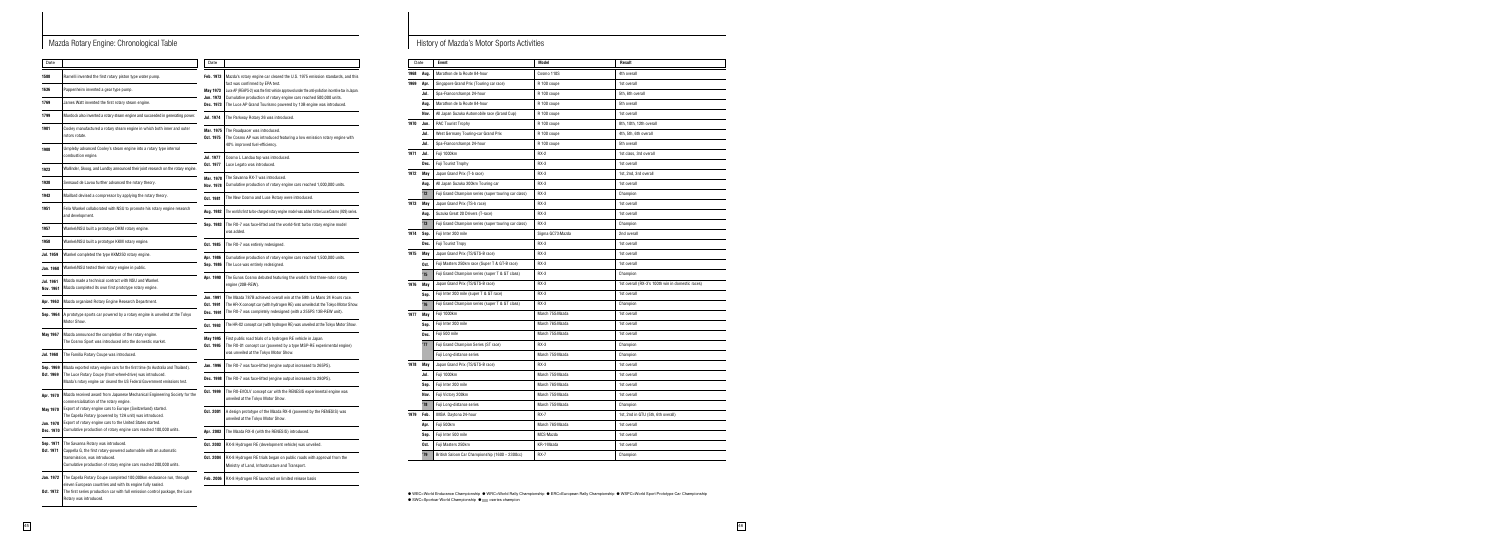| Date                                |                                                                                                                                                                                                                                                                                            |
|-------------------------------------|--------------------------------------------------------------------------------------------------------------------------------------------------------------------------------------------------------------------------------------------------------------------------------------------|
| Feb. 1973<br>May 1973<br>Jun. 1973  | Mazda's rotary engine car cleared the U.S. 1975 emission standards, and this<br>fact was confirmed by EPA test.<br>Luce AP (REAPS-2) was the first vehicle approved under the anti-pollution incentive tax in Japan.<br>Cumulative production of rotary engine cars reached 500,000 units. |
| Dec. 1973                           | The Luce AP Grand Tourismo powered by 13B engine was introduced.                                                                                                                                                                                                                           |
| Jul. 1974                           | The Parkway Rotary 26 was introduced.                                                                                                                                                                                                                                                      |
| Mar. 1975<br>Oct. 1975              | The Roadpacer was introduced.<br>The Cosmo AP was introduced featuring a low emission rotary engine with<br>40% improved fuel-efficiency.                                                                                                                                                  |
| <b>Jul. 1977</b><br>Oct. 1977       | Cosmo L Landau top was introduced.<br>Luce Legato was introduced.                                                                                                                                                                                                                          |
| Mar. 1978<br><b>Nov. 1978</b>       | The Savanna RX-7 was introduced.<br>Cumulative production of rotary engine cars reached 1,000,000 units.                                                                                                                                                                                   |
| Oct. 1981                           | The New Cosmo and Luce Rotary were introduced.                                                                                                                                                                                                                                             |
| Aug. 1982                           | The world's first turbo-charged rotary engine model was added to the Luce/Cosmo (929) series.                                                                                                                                                                                              |
| Sep. 1983                           | The RX-7 was face-lifted and the world-first turbo rotary engine model<br>was added.                                                                                                                                                                                                       |
| Oct. 1985                           | The RX-7 was entirely redesigned.                                                                                                                                                                                                                                                          |
| Apr. 1986<br>Sep. 1986              | Cumulative production of rotary engine cars reached 1,500,000 units.<br>The Luce was entirely redesigned.                                                                                                                                                                                  |
| Apr. 1990                           | The Eunos Cosmo debuted featuring the world's first three-rotor rotary<br>engine (20B-REW).                                                                                                                                                                                                |
| Jun. 1991<br>Oct. 1991<br>Dec. 1991 | The Mazda 787B achieved overall win at the 59th Le Mans 24 Hours race.<br>The HR-X concept car (with hydrogen RE) was unveiled at the Tokyo Motor Show.<br>The RX-7 was completely redesigned (with a 255PS 13B-REW unit).                                                                 |
| Oct. 1993                           | The HR-X2 concept car (with hydrogen RE) was unveiled at the Tokyo Motor Show.                                                                                                                                                                                                             |
| <b>May 1995</b><br>Oct. 1995        | First public road trials of a hydrogen RE vehicle in Japan.<br>The RX-01 concept car (powered by a type MSP-RE experimental engine)<br>was unveiled at the Tokyo Motor Show.                                                                                                               |
| Jan. 1996                           | The RX-7 was face-lifted (engine output increased to 265PS).                                                                                                                                                                                                                               |
| Dec. 1998                           | The RX-7 was face-lifted (engine output increased to 280PS).                                                                                                                                                                                                                               |
| Oct. 1999                           | The RX-EVOLV concept car with the RENESIS experimental engine was<br>unveiled at the Tokyo Motor Show.                                                                                                                                                                                     |
| Oct. 2001                           | A design prototype of the Mazda RX-8 (powered by the RENESIS) was<br>unveiled at the Tokyo Motor Show.                                                                                                                                                                                     |
| Apr. 2003                           | The Mazda RX-8 (with the RENESIS) introduced.                                                                                                                                                                                                                                              |
| Oct. 2003                           | RX-8 Hydrogen RE (development vehicle) was unveiled.                                                                                                                                                                                                                                       |
| Oct. 2004                           | RX-8 Hydrogen RE trials began on public roads with approval from the<br>Ministry of Land, Infrastructure and Transport.                                                                                                                                                                    |
| Feb. 2006                           | RX-8 Hydrogen RE launched on limited release basis                                                                                                                                                                                                                                         |

**●** WEC=World Endurance Championship **●** WRC=World Rally Championship **●** ERC=European Rally Championship **●** WSPC=World Sport Prototype Car Championship ● SWC=Sportcar World Championship ● ■ =series champion

## Mazda Rotary Engine: Chronological Table **History of Mazda's Motor Sports Activities**

| Date                                      |                                                                                                                                                                                                                                                               | Date               |
|-------------------------------------------|---------------------------------------------------------------------------------------------------------------------------------------------------------------------------------------------------------------------------------------------------------------|--------------------|
| 1588                                      | Ramelli invented the first rotary piston type water pump.                                                                                                                                                                                                     | <b>Feb. 19</b>     |
| 1636                                      | Pappenheim invented a gear type pump.                                                                                                                                                                                                                         | <b>May 19</b>      |
| 1769                                      | James Watt invented the first rotary steam engine.                                                                                                                                                                                                            | Jun. 19<br>Dec. 19 |
| 1799                                      | Murdock also invented a rotary steam engine and succeeded in generating power.                                                                                                                                                                                | Jul. 197           |
| 1901                                      | Cooley manufactured a rotary steam engine in which both inner and outer<br>rotors rotate.                                                                                                                                                                     | Mar. 19<br>Oct. 19 |
| 1908                                      | Umpleby advanced Cooley's steam engine into a rotary type internal<br>combustion engine.                                                                                                                                                                      | Jul. 197           |
| 1923                                      | Wallinder, Skoog, and Lundby announced their joint research on the rotary engine.                                                                                                                                                                             | Oct. 19            |
| 1938                                      | Sensaud de Lavou further advanced the rotary theory.                                                                                                                                                                                                          | Mar. 19<br>Nov. 19 |
| 1943                                      | Maillard devised a compressor by applying the rotary theory.                                                                                                                                                                                                  | Oct. 19            |
| 1951                                      | Felix Wankel collaborated with NSU to promote his rotary engine research<br>and development.                                                                                                                                                                  | Aug. 19            |
| 1957                                      | Wankel/NSU built a prototype DKM rotary engine.                                                                                                                                                                                                               | Sep. 19            |
| 1958                                      | Wankel/NSU built a prototype KKM rotary engine.                                                                                                                                                                                                               | Oct. 19            |
| Jul. 1959                                 | Wankel completed the type KKM250 rotary engine.                                                                                                                                                                                                               | Apr. 19            |
| Jan. 1960                                 | Wankel/NSU tested their rotary engine in public.                                                                                                                                                                                                              | Sep. 19            |
| Jul. 1961<br><b>Nov. 1961</b>             | Mazda made a technical contract with NSU and Wankel.<br>Mazda completed its own first prototype rotary engine.                                                                                                                                                | Apr. 19            |
| Apr. 1963                                 | Mazda organized Rotary Engine Research Department.                                                                                                                                                                                                            | Jun. 19<br>Oct. 19 |
| Sep. 1964                                 | A prototype sports car powered by a rotary engine is unveiled at the Tokyo<br>Motor Show.                                                                                                                                                                     | Dec. 19<br>Oct. 19 |
| May 1967                                  | Mazda announced the completion of the rotary engine.<br>The Cosmo Sport was introduced into the domestic market.                                                                                                                                              | May 19<br>Oct. 19  |
| Jul. 1968                                 | The Familia Rotary Coupe was introduced.                                                                                                                                                                                                                      |                    |
| Sep. 1969<br>Oct. 1969                    | Mazda exported rotary engine cars for the first time (to Australia and Thailand).<br>The Luce Rotary Coupe (front-wheel-drive) was introduced.<br>Mazda's rotary engine car cleared the US Federal Government emissions test.                                 | Jan. 19<br>Dec. 19 |
| Apr. 1970                                 | Mazda received award from Japanese Mechanical Engineering Society for the<br>commercialization of the rotary engine.                                                                                                                                          | Oct. 19            |
| <b>May 1970</b><br>Jun. 1970<br>Dec. 1970 | Export of rotary engine cars to Europe (Switzerland) started.<br>The Capella Rotary (powered by 12A unit) was introduced.<br>Export of rotary engine cars to the United States started.<br>Cumulative production of rotary engine cars reached 100,000 units. | Oct. 20            |
| Sep. 1971                                 | The Savanna Rotary was introduced.                                                                                                                                                                                                                            | Apr. 20            |
| Oct. 1971                                 | Cappella G, the first rotary-powered automobile with an automatic<br>transmission, was introduced.<br>Cumulative production of rotary engine cars reached 200,000 units.                                                                                      | Oct. 20<br>Oct. 20 |
| Jan. 1972<br>Oct. 1972                    | The Capella Rotary Coupe completed 100,000km endurance run, through<br>eleven European countries and with its engine fully sealed.<br>The first series production car with full emission control package, the Luce<br>Rotary was introduced.                  | Feb. 20            |

| Date |            | Event                                                | Model            | Result                                           |
|------|------------|------------------------------------------------------|------------------|--------------------------------------------------|
| 1968 | Aug.       | Marathon de la Route 84-hour                         | Cosmo 110S       | 4th overall                                      |
| 1969 | Apr.       | Singapore Grand Prix (Touring car race)              | R 100 coupe      | 1st overall                                      |
|      | Jul.       | Spa-Francorchamps 24-hour                            | R 100 coupe      | 5th, 6th overall                                 |
|      | Aug.       | Marathon de la Route 84-hour                         | R 100 coupe      | 5th overall                                      |
|      | Nov.       | All Japan Suzuka Automobile race (Grand Cup)         | R 100 coupe      | 1st overall                                      |
| 1970 | Jun.       | <b>RAC Tourist Trophy</b>                            | R 100 coupe      | 8th, 10th, 12th overall                          |
|      | Jul.       | West Germany Touring-car Grand Prix                  | R 100 coupe      | 4th, 5th, 6th overall                            |
|      | Jul.       | Spa-Francorchamps 24-hour                            | R 100 coupe      | 5th overall                                      |
| 1971 | Jul.       | Fuji 1000km                                          | $RX-2$           | 1st class, 3rd overall                           |
|      | Dec.       | <b>Fuji Tourist Trophy</b>                           | $RX-3$           | 1st overall                                      |
| 1972 | May        | Japan Grand Prix (T-b race)                          | $RX-3$           | 1st, 2nd, 3rd overall                            |
|      | Aug.       | All Japan Suzuka 300km Touring car                   | $RX-3$           | 1st overall                                      |
|      | '72        | Fuji Grand Champion series (super touring car class) | $RX-3$           | Champion                                         |
| 1973 | May        | Japan Grand Prix (TS-b race)                         | $RX-3$           | 1st overall                                      |
|      | Aug.       | Suzuka Great 20 Drivers (T-race)                     | $RX-3$           | 1st overall                                      |
|      | '73        | Fuji Grand Champion series (super touring car class) | $RX-3$           | Champion                                         |
| 1974 | Sep.       | Fuji Inter 200 mile                                  | Sigma GC73-Mazda | 2nd overall                                      |
|      | Dec.       | Fuji Tourist Tropy                                   | $RX-3$           | 1st overall                                      |
| 1975 | May        | Japan Grand Prix (TS/GTS-B race)                     | $RX-3$           | 1st overall                                      |
|      | Oct.       | Fuji Masters 250km race (Super T & GT-B race)        | $RX-3$           | 1st overall                                      |
|      | '75        | Fuji Grand Champion series (super T & GT class)      | $RX-3$           | Champion                                         |
| 1976 | <b>May</b> | Japan Grand Prix (TS/GTS-B race)                     | $RX-3$           | 1st overall (RX-3's 100th win in domestic races) |
|      | Sep.       | Fuji Inter 200 mile (super T & GT race)              | $RX-3$           | 1st overall                                      |
|      | 76         | Fuji Grand Champion series (super T & GT class)      | $RX-3$           | Champion                                         |
| 1977 | May        | Fuji 1000km                                          | March 75S-Mazda  | 1st overall                                      |
|      | Sep.       | Fuji Inter 200 mile                                  | March 76S-Mazda  | 1st overall                                      |
|      | Dec.       | Fuji 500 mile                                        | March 75S-Mazda  | 1st overall                                      |
|      | '77        | Fuji Grand Champion Series (ST race)                 | $RX-3$           | Champion                                         |
|      |            | Fuji Long-distance series                            | March 75S-Mazda  | Champion                                         |
| 1978 | May        | Japan Grand Prix (TS/GTS-B race)                     | $RX-3$           | 1st overall                                      |
|      | Jul.       | Fuji 1000km                                          | March 75S-Mazda  | 1st overall                                      |
|      | Sep.       | Fuji Inter 200 mile                                  | March 76S-Mazda  | 1st overall                                      |
|      | Nov.       | Fuji Victory 200km                                   | March 75S-Mazda  | 1st overall                                      |
|      | 78         | Fuji Long-distance series                            | March 75S-Mazda  | Champion                                         |
| 1979 | Feb.       | IMSA Daytona 24-hour                                 | <b>RX-7</b>      | 1st, 2nd in GTU (5th, 6th overall)               |
|      | Apr.       | Fuji 500km                                           | March 76S-Mazda  | 1st overall                                      |
|      | Sep.       | Fuji Inter 500 mile                                  | MCS-Mazda        | 1st overall                                      |
|      | Oct.       | Fuji Masters 250km                                   | KR-1-Mazda       | 1st overall                                      |
|      | '79        | British Saloon Car Championship (1600 ~ 2300cc)      | <b>RX-7</b>      | Champion                                         |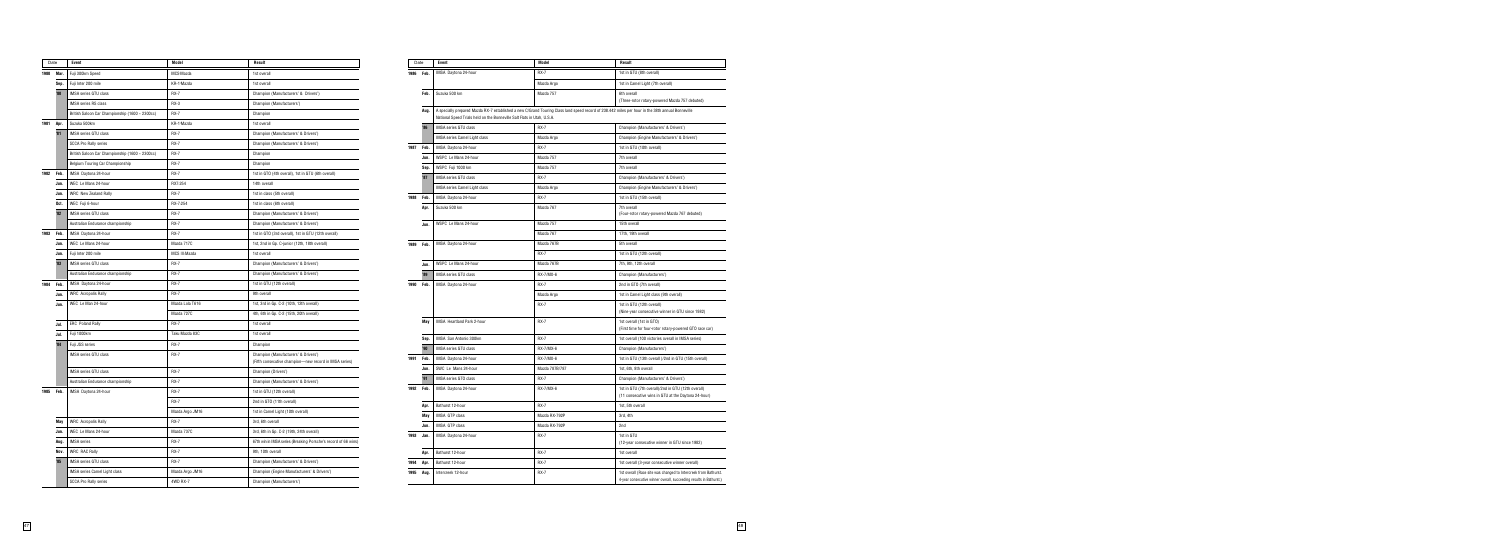| Date      |            | <b>Event</b>                                    | Model           | Result                                                                                         | Date         |      | Event                                                                                                                                                                                    | Model          | Result                  |
|-----------|------------|-------------------------------------------------|-----------------|------------------------------------------------------------------------------------------------|--------------|------|------------------------------------------------------------------------------------------------------------------------------------------------------------------------------------------|----------------|-------------------------|
| 1980      | Mar.       | Fuji 300km Speed                                | MCS-Mazda       | 1st overall                                                                                    | 1986 Feb.    |      | IMSA Daytona 24-hour                                                                                                                                                                     | <b>RX-7</b>    | 1st in 0                |
|           | Sep.       | Fuji Inter 200 mile                             | KR-1-Mazda      | 1st overall                                                                                    |              |      |                                                                                                                                                                                          | Mazda Argo     | 1st in 0                |
|           | $30^\circ$ | <b>IMSA series GTU class</b>                    | <b>RX-7</b>     | Champion (Manufacturers' & Drivers')                                                           |              | Feb. | Suzuka 500 km                                                                                                                                                                            | Mazda 757      | 6th ove                 |
|           |            | <b>IMSA series RS class</b>                     | RX-3            | Champion (Manufacturers')                                                                      |              |      |                                                                                                                                                                                          |                | (Three-                 |
|           |            | British Saloon Car Championship (1600 ~ 2300cc) | <b>RX-7</b>     | Champion                                                                                       |              | Aug. | A specially prepared Mazda RX-7 established a new C/Grand Touring Class land speed record of 238.442 miles pe<br>National Speed Trials held on the Bonneville Salt Flats in Utah, U.S.A. |                |                         |
| 1981      | Apr.       | Suzuka 500km                                    | KR-1-Mazda      | 1st overall                                                                                    | '86          |      | IMSA series GTU class                                                                                                                                                                    | <b>RX-7</b>    | Champ                   |
|           | '81        | <b>IMSA series GTU class</b>                    | <b>RX-7</b>     | Champion (Manufacturers' & Drivers')                                                           |              |      | IMSA series Camel Light class                                                                                                                                                            | Mazda Argo     | Champ                   |
|           |            | <b>SCCA Pro Rally series</b>                    | <b>RX-7</b>     | Champion (Manufacturers' & Drivers')                                                           | 1987 Feb.    |      | IMSA Daytona 24-hour                                                                                                                                                                     | <b>RX-7</b>    | 1st in 0                |
|           |            | British Saloon Car Championship (1600 ~ 2300cc) | <b>RX-7</b>     | Champion                                                                                       |              | Jun. | WSPC Le Mans 24-hour                                                                                                                                                                     | Mazda 757      | 7th ove                 |
|           |            | Belgium Touring Car Championship                | <b>RX-7</b>     | Champion                                                                                       |              | Sep. | WSPC Fuji 1000 km                                                                                                                                                                        | Mazda 757      | 7th ove                 |
| 1982      | Feb.       | IMSA Daytona 24-hour                            | <b>RX-7</b>     | 1st in GTO (4th overall), 1st in GTU (6th overall)                                             | '87          |      | <b>IMSA series GTU class</b>                                                                                                                                                             | <b>RX-7</b>    | Champ                   |
|           | Jun.       | WEC Le Mans 24-hour                             | RX7-254         | 14th overall                                                                                   |              |      | IMSA series Camel Light class                                                                                                                                                            | Mazda Argo     | Champ                   |
|           | Jun.       | <b>WRC</b> New Zealand Rally                    | <b>RX-7</b>     | 1st in class (5th overall)                                                                     | 1988 Feb.    |      | IMSA Daytona 24-hour                                                                                                                                                                     | <b>RX-7</b>    | 1st in 0                |
|           | Oct.       | WEC Fuji 6-hour                                 | RX-7-254        | 1st in class (6th overall)                                                                     | Apr          |      | Suzuka 500 km                                                                                                                                                                            | Mazda 767      | 7th ove                 |
|           | 32'        | <b>IMSA series GTU class</b>                    | <b>RX-7</b>     | Champion (Manufacturers' & Drivers')                                                           |              |      |                                                                                                                                                                                          |                | (Four-r                 |
|           |            | Australian Endurance championship               | <b>RX-7</b>     | Champion (Manufacturers' & Drivers')                                                           |              | Jun. | WSPC Le Mans 24-hour                                                                                                                                                                     | Mazda 757      | 15th o                  |
| 1983      | Feb.       | IMSA Daytona 24-hour                            | <b>RX-7</b>     | 1st in GTO (3rd overall), 1st in GTU (12th overall)                                            |              |      |                                                                                                                                                                                          | Mazda 767      | 17th, 1                 |
|           | Jun        | WEC Le Mans 24-hour                             | Mazda 717C      | 1st, 2nd in Gp. C-junior (12th, 18th overall)                                                  | 1989 Feb.    |      | IMSA Daytona 24-hour                                                                                                                                                                     | Mazda 767B     | 5th ove                 |
|           | Jun.       | Fuji Inter 200 mile                             | MCS III-Mazda   | 1st overall                                                                                    |              |      |                                                                                                                                                                                          | <b>RX-7</b>    | 1st in 0                |
|           | 33         | <b>IMSA series GTU class</b>                    | <b>RX-7</b>     | Champion (Manufacturers' & Drivers')                                                           | Jun.         |      | WSPC Le Mans 24-hour                                                                                                                                                                     | Mazda 767B     | 7th, 9t                 |
|           |            | Australian Endurance championship               | <b>RX-7</b>     | Champion (Manufacturers' & Drivers')                                                           | 39'          |      | <b>IMSA series GTU class</b>                                                                                                                                                             | RX-7/MX-6      | Champ                   |
| 1984      | Feb.       | IMSA Daytona 24-hour                            | <b>RX-7</b>     | 1st in GTU (12th overall)                                                                      | 1990 Feb.    |      | IMSA Daytona 24-hour                                                                                                                                                                     | <b>RX-7</b>    | 2nd in                  |
|           | Jun        | <b>WRC</b> Acropolis Rally                      | <b>RX-7</b>     | 9th overall                                                                                    |              |      |                                                                                                                                                                                          | Mazda Argo     | 1st in 0                |
|           | Jun.       | WEC Le Man 24-hour                              | Mazda Lola T616 | 1st, 3rd in Gp. C-2 (10th, 12th overall)                                                       |              |      |                                                                                                                                                                                          | <b>RX-7</b>    | 1st in 0                |
|           |            |                                                 | Mazda 727C      | 4th, 6th in Gp. C-2 (15th, 20th overall)                                                       |              |      | IMSA Heartland Park 2-hour                                                                                                                                                               | <b>RX-7</b>    | (Nine-y                 |
|           | Jul.       | <b>ERC</b> Poland Rally                         | <b>RX-7</b>     | 1st overall                                                                                    |              | May  |                                                                                                                                                                                          |                | 1st ove<br>(First t     |
|           | Jul.       | Fuji 1000km                                     | Taku Mazda 83C  | 1st overall                                                                                    |              | Sep. | IMSA San Antonio 300km                                                                                                                                                                   | <b>RX-7</b>    | 1st ove                 |
|           | 84         | Fuji JSS series                                 | <b>RX-7</b>     | Champion                                                                                       | '90          |      | <b>IMSA series GTU class</b>                                                                                                                                                             | RX-7/MX-6      | Champ                   |
|           |            | <b>IMSA series GTU class</b>                    | <b>RX-7</b>     | Champion (Manufacturers' & Drivers')<br>(Fifth consecutive champion-new record in IMSA series) | 1991 Feb.    |      | IMSA Daytona 24-hour                                                                                                                                                                     | RX-7/MX-6      | 1st in 0                |
|           |            | IMSA series GTU class                           | <b>RX-7</b>     | Champion (Drivers')                                                                            |              | Jun. | SWC Le Mans 24-hour                                                                                                                                                                      | Mazda 787B/787 | 1st, 6tl                |
|           |            | Australian Endurance championship               | <b>RX-7</b>     | Champion (Manufacturers' & Drivers')                                                           | '91          |      | IMSA series GTO class                                                                                                                                                                    | <b>RX-7</b>    | Champ                   |
| 1985 Feb. |            | IMSA Daytona 24-hour                            | <b>RX-7</b>     | 1st in GTU (12th overall)                                                                      | 1992 Feb.    |      | IMSA Daytona 24-hour                                                                                                                                                                     | RX-7/MX-6      | 1st in 0                |
|           |            |                                                 | <b>RX-7</b>     | 2nd in GTO (11th overall)                                                                      |              |      |                                                                                                                                                                                          |                | $(11$ cor               |
|           |            |                                                 | Mazda Argo JM16 | 1st in Camel Light (10th overall)                                                              | Apr          |      | Bathurst 12-hour                                                                                                                                                                         | <b>RX-7</b>    | 1st, 5tl                |
|           | May        | <b>WRC</b> Acropolis Rally                      | <b>RX-7</b>     | 3rd, 6th overall                                                                               |              | May  | IMSA GTP class                                                                                                                                                                           | Mazda RX-792P  | 3rd, 4t                 |
|           | Jun.       | WEC Le Mans 24-hour                             | Mazda 737C      | 3rd, 6th in Gp. C-2 (19th, 24th overall)                                                       |              | Jun. | IMSA GTP class                                                                                                                                                                           | Mazda RX-792P  | 2nd                     |
|           | Aug.       | <b>IMSA</b> series                              | <b>RX-7</b>     | 67th win in IMSA series (Breaking Porsche's record of 66 wins)                                 | 1993<br>Jan. |      | IMSA Daytona 24-hour                                                                                                                                                                     | <b>RX-7</b>    | 1st in 0<br>$(12 - ye)$ |
|           | Nov.       | <b>WRC RAC Rally</b>                            | <b>RX-7</b>     | 9th, 10th overall                                                                              | Apr.         |      | Bathurst 12-hour                                                                                                                                                                         | $RX-7$         | 1st ove                 |
|           | 35         | IMSA series GTU class                           | <b>RX-7</b>     | Champion (Manufacturers' & Drivers')                                                           | 1994 Apr.    |      | Bathurst 12-hour                                                                                                                                                                         | <b>RX-7</b>    | 1st ove                 |
|           |            | IMSA series Camel Light class                   | Mazda Argo JM16 | Champion (Engine Manufacturers' & Drivers')                                                    | 1995 Aug.    |      | Intercreek 12-hour                                                                                                                                                                       | <b>RX-7</b>    | 1st ove                 |
|           |            | <b>SCCA Pro Rally series</b>                    | 4WD RX-7        | Champion (Manufacturers')                                                                      |              |      |                                                                                                                                                                                          |                | 4-year                  |
|           |            |                                                 |                 |                                                                                                |              |      |                                                                                                                                                                                          |                |                         |

| Date |            | Event                                                                                                                                                                                                                        | Model          | Result                                                                                                                                 |
|------|------------|------------------------------------------------------------------------------------------------------------------------------------------------------------------------------------------------------------------------------|----------------|----------------------------------------------------------------------------------------------------------------------------------------|
| 1986 | Feb.       | IMSA Daytona 24-hour                                                                                                                                                                                                         | $RX-7$         | 1st in GTU (8th overall)                                                                                                               |
|      |            |                                                                                                                                                                                                                              | Mazda Argo     | 1st in Camel Light (7th overall)                                                                                                       |
|      | Feb.       | Suzuka 500 km                                                                                                                                                                                                                | Mazda 757      | 6th overall<br>(Three-rotor rotary-powered Mazda 757 debuted)                                                                          |
|      | Aug.       | A specially prepared Mazda RX-7 established a new C/Grand Touring Class land speed record of 238.442 miles per hour in the 38th annual Bonneville<br>National Speed Trials held on the Bonneville Salt Flats in Utah, U.S.A. |                |                                                                                                                                        |
|      | '86        | <b>IMSA series GTU class</b>                                                                                                                                                                                                 | $RX-7$         | Champion (Manufacturers' & Drivers')                                                                                                   |
|      |            | <b>IMSA series Camel Light class</b>                                                                                                                                                                                         | Mazda Argo     | Champion (Engine Manufacturers' & Drivers')                                                                                            |
| 1987 | Feb.       | IMSA Daytona 24-hour                                                                                                                                                                                                         | <b>RX-7</b>    | 1st in GTU (10th overall)                                                                                                              |
|      | Jun.       | WSPC Le Mans 24-hour                                                                                                                                                                                                         | Mazda 757      | 7th overall                                                                                                                            |
|      | Sep.       | WSPC Fuji 1000 km                                                                                                                                                                                                            | Mazda 757      | 7th overall                                                                                                                            |
|      | '87        | <b>IMSA series GTU class</b>                                                                                                                                                                                                 | $RX-7$         | Champion (Manufacturers' & Drivers')                                                                                                   |
|      |            | IMSA series Camel Light class                                                                                                                                                                                                | Mazda Argo     | Champion (Engine Manufacturers' & Drivers')                                                                                            |
| 1988 | Feb.       | IMSA Daytona 24-hour                                                                                                                                                                                                         | <b>RX-7</b>    | 1st in GTU (15th overall)                                                                                                              |
|      | Apr.       | Suzuka 500 km                                                                                                                                                                                                                | Mazda 767      | 7th overall<br>(Four-rotor rotary-powered Mazda 767 debuted)                                                                           |
|      | Jun.       | WSPC Le Mans 24-hour                                                                                                                                                                                                         | Mazda 757      | 15th overall                                                                                                                           |
|      |            |                                                                                                                                                                                                                              | Mazda 767      | 17th, 19th overall                                                                                                                     |
| 1989 | Feb.       | IMSA Daytona 24-hour                                                                                                                                                                                                         | Mazda 767B     | 5th overall                                                                                                                            |
|      |            |                                                                                                                                                                                                                              | <b>RX-7</b>    | 1st in GTU (12th overall)                                                                                                              |
|      | Jun.       | WSPC Le Mans 24-hour                                                                                                                                                                                                         | Mazda 767B     | 7th, 9th, 12th overall                                                                                                                 |
|      | '89        | <b>IMSA series GTU class</b>                                                                                                                                                                                                 | RX-7/MX-6      | Champion (Manufacturers')                                                                                                              |
| 1990 | Feb.       | IMSA Daytona 24-hour                                                                                                                                                                                                         | <b>RX-7</b>    | 2nd in GTO (7th overall)                                                                                                               |
|      |            |                                                                                                                                                                                                                              | Mazda Argo     | 1st in Camel Light class (9th overall)                                                                                                 |
|      |            |                                                                                                                                                                                                                              | <b>RX-7</b>    | 1st in GTU (12th overall)<br>(Nine-year consecutive winner in GTU since 1982)                                                          |
|      | <b>May</b> | IMSA Heartland Park 2-hour                                                                                                                                                                                                   | $RX-7$         | 1st overall (1st in GTO)<br>(First time for four-rotor rotary-powered GTO race car)                                                    |
|      | Sep.       | IMSA San Antonio 300km                                                                                                                                                                                                       | $RX-7$         | 1st overall (100 victories overall in IMSA series)                                                                                     |
|      | '90        | <b>IMSA series GTU class</b>                                                                                                                                                                                                 | RX-7/MX-6      | Champion (Manufacturers')                                                                                                              |
| 1991 | Feb.       | IMSA Daytona 24-hour                                                                                                                                                                                                         | RX-7/MX-6      | 1st in GTU (13th overall )/2nd in GTU (15th overall)                                                                                   |
|      | Jun.       | SWC Le Mans 24-hour                                                                                                                                                                                                          | Mazda 787B/787 | 1st, 6th, 8th overall                                                                                                                  |
|      | 91         | IMSA series GTO class                                                                                                                                                                                                        | <b>RX-7</b>    | Champion (Manufacturers' & Drivers')                                                                                                   |
| 1992 | Feb.       | IMSA Daytona 24-hour                                                                                                                                                                                                         | RX-7/MX-6      | 1st in GTU (7th overall)/2nd in GTU (12th overall)<br>(11 consecutive wins in GTU at the Daytona 24-hour)                              |
|      | Apr.       | Bathurst 12-hour                                                                                                                                                                                                             | <b>RX-7</b>    | 1st, 5th overall                                                                                                                       |
|      | May        | IMSA GTP class                                                                                                                                                                                                               | Mazda RX-792P  | 3rd, 4th                                                                                                                               |
|      | Jun.       | IMSA GTP class                                                                                                                                                                                                               | Mazda RX-792P  | 2nd                                                                                                                                    |
| 1993 | Jan.       | IMSA Daytona 24-hour                                                                                                                                                                                                         | <b>RX-7</b>    | 1st in GTU<br>(12-year consecutive winner in GTU since 1982)                                                                           |
|      | Apr.       | Bathurst 12-hour                                                                                                                                                                                                             | $RX-7$         | 1st overall                                                                                                                            |
| 1994 | Apr.       | Bathurst 12-hour                                                                                                                                                                                                             | <b>RX-7</b>    | 1st overall (3-year consecutive winner overall)                                                                                        |
| 1995 | Aug.       | Intercreek 12-hour                                                                                                                                                                                                           | <b>RX-7</b>    | 1st overall (Race site was changed to Intercreek from Bathurst.<br>4-year consecutive winner overall, succeeding results in Bathurst.) |